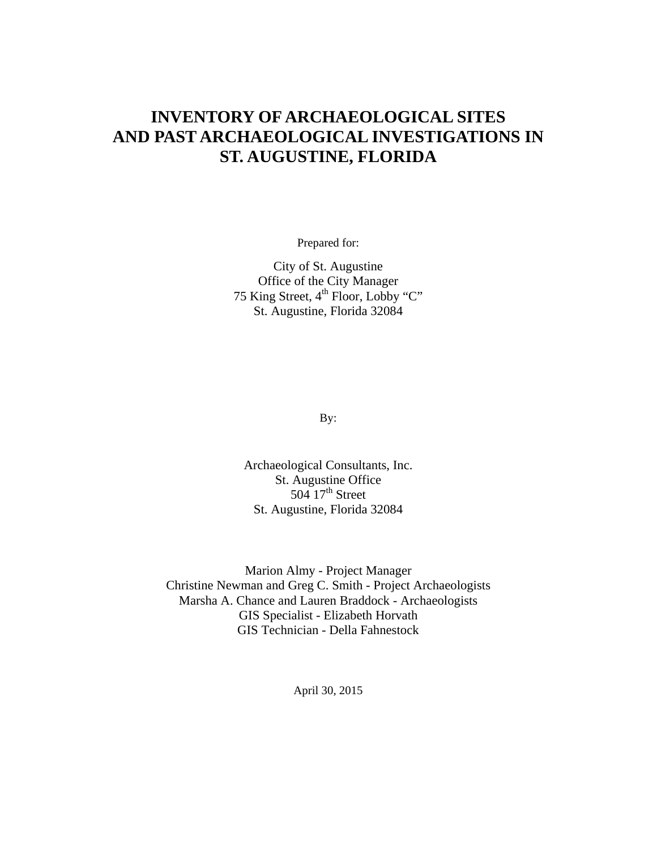# **INVENTORY OF ARCHAEOLOGICAL SITES AND PAST ARCHAEOLOGICAL INVESTIGATIONS IN ST. AUGUSTINE, FLORIDA**

Prepared for:

City of St. Augustine Office of the City Manager 75 King Street,  $4<sup>th</sup>$  Floor, Lobby "C" St. Augustine, Florida 32084

By:

Archaeological Consultants, Inc. St. Augustine Office  $504 \overline{17}$ <sup>th</sup> Street St. Augustine, Florida 32084

Marion Almy - Project Manager Christine Newman and Greg C. Smith - Project Archaeologists Marsha A. Chance and Lauren Braddock - Archaeologists GIS Specialist - Elizabeth Horvath GIS Technician - Della Fahnestock

April 30, 2015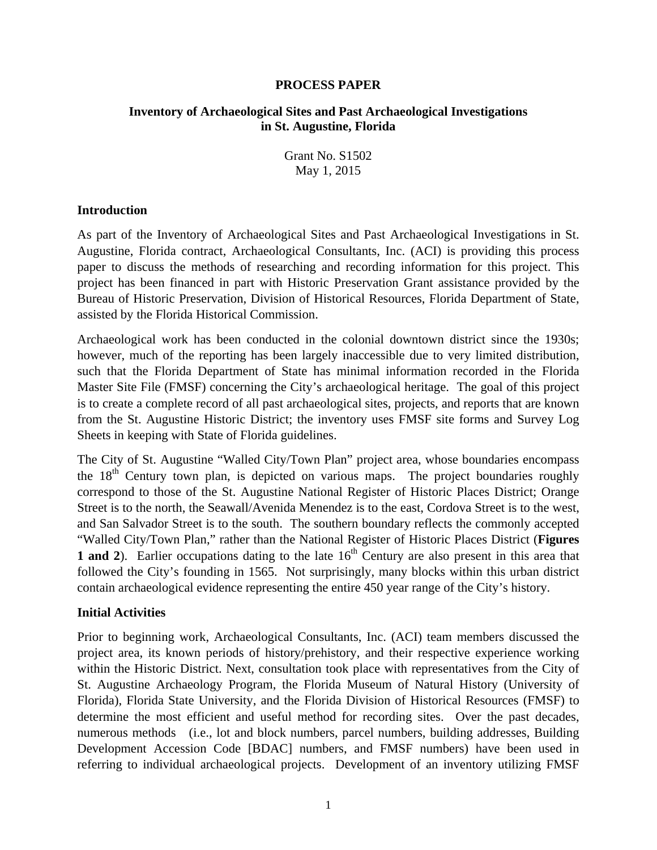#### **PROCESS PAPER**

#### **Inventory of Archaeological Sites and Past Archaeological Investigations in St. Augustine, Florida**

Grant No. S1502 May 1, 2015

#### **Introduction**

As part of the Inventory of Archaeological Sites and Past Archaeological Investigations in St. Augustine, Florida contract, Archaeological Consultants, Inc. (ACI) is providing this process paper to discuss the methods of researching and recording information for this project. This project has been financed in part with Historic Preservation Grant assistance provided by the Bureau of Historic Preservation, Division of Historical Resources, Florida Department of State, assisted by the Florida Historical Commission.

Archaeological work has been conducted in the colonial downtown district since the 1930s; however, much of the reporting has been largely inaccessible due to very limited distribution, such that the Florida Department of State has minimal information recorded in the Florida Master Site File (FMSF) concerning the City's archaeological heritage. The goal of this project is to create a complete record of all past archaeological sites, projects, and reports that are known from the St. Augustine Historic District; the inventory uses FMSF site forms and Survey Log Sheets in keeping with State of Florida guidelines.

The City of St. Augustine "Walled City/Town Plan" project area, whose boundaries encompass the  $18<sup>th</sup>$  Century town plan, is depicted on various maps. The project boundaries roughly correspond to those of the St. Augustine National Register of Historic Places District; Orange Street is to the north, the Seawall/Avenida Menendez is to the east, Cordova Street is to the west, and San Salvador Street is to the south. The southern boundary reflects the commonly accepted "Walled City/Town Plan," rather than the National Register of Historic Places District (**Figures**  1 and 2). Earlier occupations dating to the late 16<sup>th</sup> Century are also present in this area that followed the City's founding in 1565. Not surprisingly, many blocks within this urban district contain archaeological evidence representing the entire 450 year range of the City's history.

#### **Initial Activities**

Prior to beginning work, Archaeological Consultants, Inc. (ACI) team members discussed the project area, its known periods of history/prehistory, and their respective experience working within the Historic District. Next, consultation took place with representatives from the City of St. Augustine Archaeology Program, the Florida Museum of Natural History (University of Florida), Florida State University, and the Florida Division of Historical Resources (FMSF) to determine the most efficient and useful method for recording sites. Over the past decades, numerous methods (i.e., lot and block numbers, parcel numbers, building addresses, Building Development Accession Code [BDAC] numbers, and FMSF numbers) have been used in referring to individual archaeological projects. Development of an inventory utilizing FMSF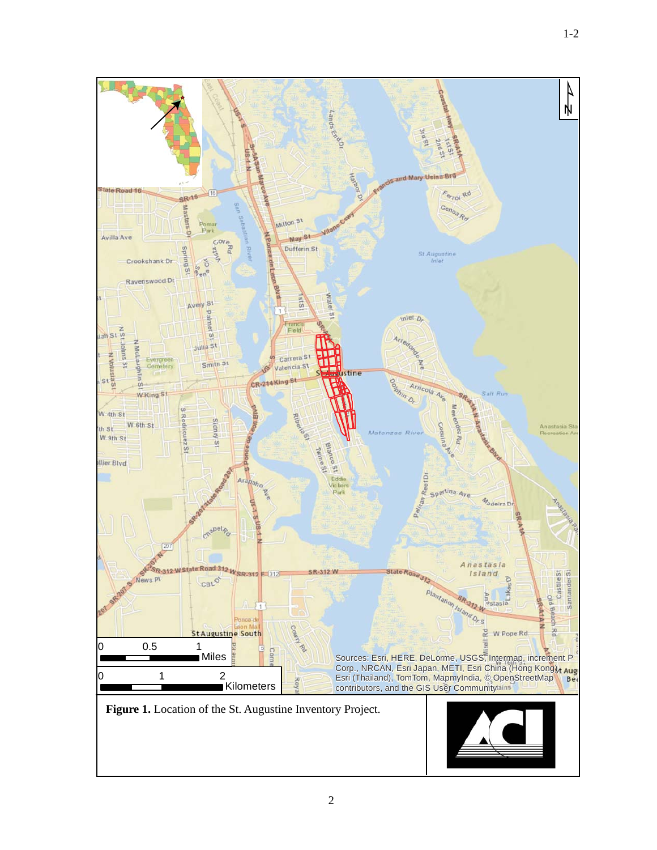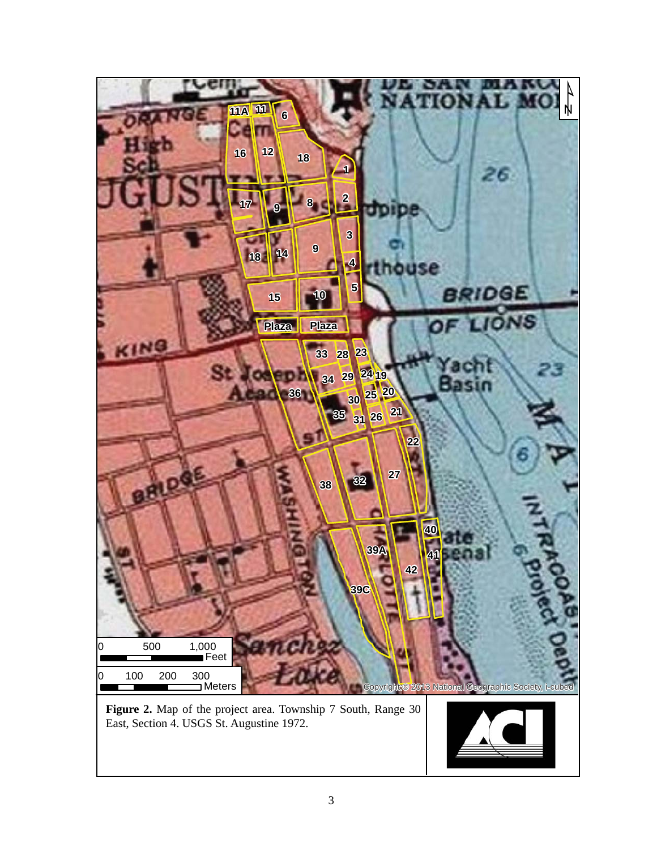

**Figure 2.** Map of the project area. Township 7 South, Range 30 East, Section 4. USGS St. Augustine 1972.

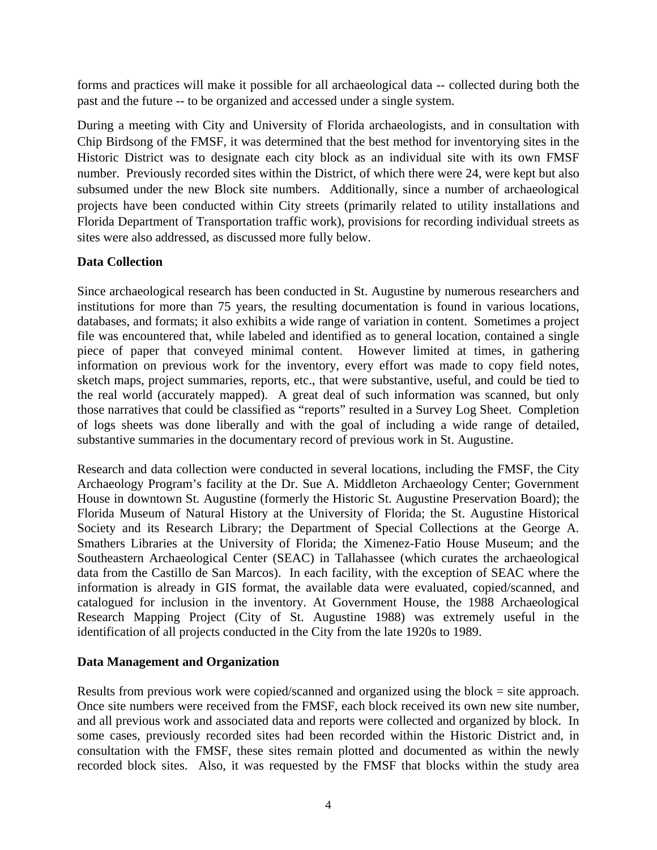forms and practices will make it possible for all archaeological data -- collected during both the past and the future -- to be organized and accessed under a single system.

During a meeting with City and University of Florida archaeologists, and in consultation with Chip Birdsong of the FMSF, it was determined that the best method for inventorying sites in the Historic District was to designate each city block as an individual site with its own FMSF number. Previously recorded sites within the District, of which there were 24, were kept but also subsumed under the new Block site numbers. Additionally, since a number of archaeological projects have been conducted within City streets (primarily related to utility installations and Florida Department of Transportation traffic work), provisions for recording individual streets as sites were also addressed, as discussed more fully below.

### **Data Collection**

Since archaeological research has been conducted in St. Augustine by numerous researchers and institutions for more than 75 years, the resulting documentation is found in various locations, databases, and formats; it also exhibits a wide range of variation in content. Sometimes a project file was encountered that, while labeled and identified as to general location, contained a single piece of paper that conveyed minimal content. However limited at times, in gathering information on previous work for the inventory, every effort was made to copy field notes, sketch maps, project summaries, reports, etc., that were substantive, useful, and could be tied to the real world (accurately mapped). A great deal of such information was scanned, but only those narratives that could be classified as "reports" resulted in a Survey Log Sheet. Completion of logs sheets was done liberally and with the goal of including a wide range of detailed, substantive summaries in the documentary record of previous work in St. Augustine.

Research and data collection were conducted in several locations, including the FMSF, the City Archaeology Program's facility at the Dr. Sue A. Middleton Archaeology Center; Government House in downtown St. Augustine (formerly the Historic St. Augustine Preservation Board); the Florida Museum of Natural History at the University of Florida; the St. Augustine Historical Society and its Research Library; the Department of Special Collections at the George A. Smathers Libraries at the University of Florida; the Ximenez-Fatio House Museum; and the Southeastern Archaeological Center (SEAC) in Tallahassee (which curates the archaeological data from the Castillo de San Marcos). In each facility, with the exception of SEAC where the information is already in GIS format, the available data were evaluated, copied/scanned, and catalogued for inclusion in the inventory. At Government House, the 1988 Archaeological Research Mapping Project (City of St. Augustine 1988) was extremely useful in the identification of all projects conducted in the City from the late 1920s to 1989.

### **Data Management and Organization**

Results from previous work were copied/scanned and organized using the block = site approach. Once site numbers were received from the FMSF, each block received its own new site number, and all previous work and associated data and reports were collected and organized by block. In some cases, previously recorded sites had been recorded within the Historic District and, in consultation with the FMSF, these sites remain plotted and documented as within the newly recorded block sites. Also, it was requested by the FMSF that blocks within the study area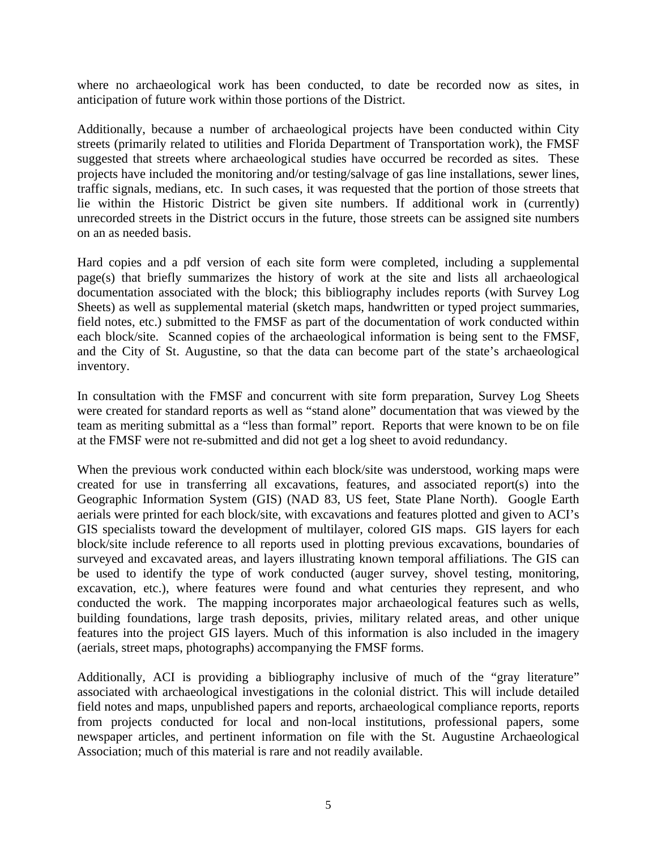where no archaeological work has been conducted, to date be recorded now as sites, in anticipation of future work within those portions of the District.

Additionally, because a number of archaeological projects have been conducted within City streets (primarily related to utilities and Florida Department of Transportation work), the FMSF suggested that streets where archaeological studies have occurred be recorded as sites. These projects have included the monitoring and/or testing/salvage of gas line installations, sewer lines, traffic signals, medians, etc. In such cases, it was requested that the portion of those streets that lie within the Historic District be given site numbers. If additional work in (currently) unrecorded streets in the District occurs in the future, those streets can be assigned site numbers on an as needed basis.

Hard copies and a pdf version of each site form were completed, including a supplemental page(s) that briefly summarizes the history of work at the site and lists all archaeological documentation associated with the block; this bibliography includes reports (with Survey Log Sheets) as well as supplemental material (sketch maps, handwritten or typed project summaries, field notes, etc.) submitted to the FMSF as part of the documentation of work conducted within each block/site. Scanned copies of the archaeological information is being sent to the FMSF, and the City of St. Augustine, so that the data can become part of the state's archaeological inventory.

In consultation with the FMSF and concurrent with site form preparation, Survey Log Sheets were created for standard reports as well as "stand alone" documentation that was viewed by the team as meriting submittal as a "less than formal" report. Reports that were known to be on file at the FMSF were not re-submitted and did not get a log sheet to avoid redundancy.

When the previous work conducted within each block/site was understood, working maps were created for use in transferring all excavations, features, and associated report(s) into the Geographic Information System (GIS) (NAD 83, US feet, State Plane North). Google Earth aerials were printed for each block/site, with excavations and features plotted and given to ACI's GIS specialists toward the development of multilayer, colored GIS maps. GIS layers for each block/site include reference to all reports used in plotting previous excavations, boundaries of surveyed and excavated areas, and layers illustrating known temporal affiliations. The GIS can be used to identify the type of work conducted (auger survey, shovel testing, monitoring, excavation, etc.), where features were found and what centuries they represent, and who conducted the work. The mapping incorporates major archaeological features such as wells, building foundations, large trash deposits, privies, military related areas, and other unique features into the project GIS layers. Much of this information is also included in the imagery (aerials, street maps, photographs) accompanying the FMSF forms.

Additionally, ACI is providing a bibliography inclusive of much of the "gray literature" associated with archaeological investigations in the colonial district. This will include detailed field notes and maps, unpublished papers and reports, archaeological compliance reports, reports from projects conducted for local and non-local institutions, professional papers, some newspaper articles, and pertinent information on file with the St. Augustine Archaeological Association; much of this material is rare and not readily available.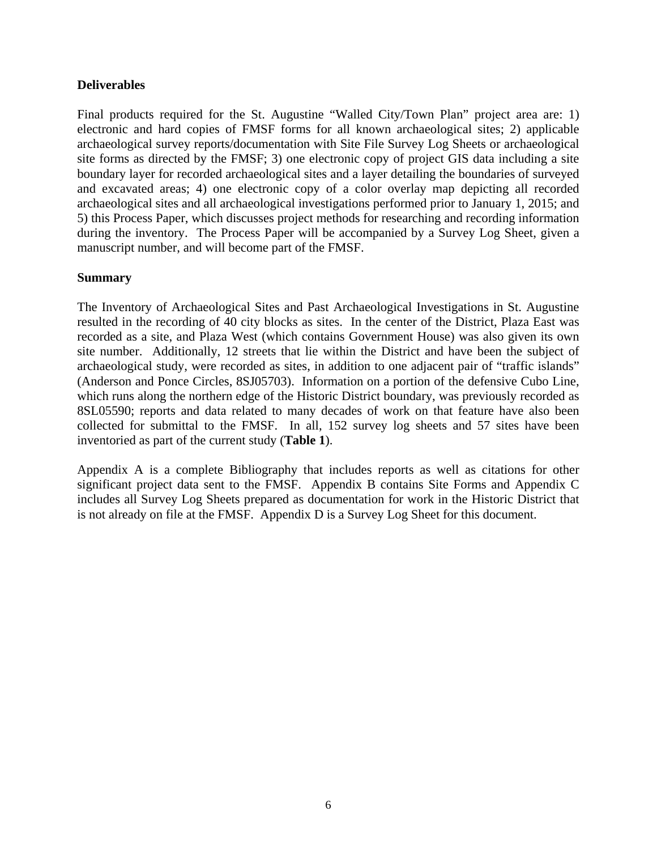#### **Deliverables**

Final products required for the St. Augustine "Walled City/Town Plan" project area are: 1) electronic and hard copies of FMSF forms for all known archaeological sites; 2) applicable archaeological survey reports/documentation with Site File Survey Log Sheets or archaeological site forms as directed by the FMSF; 3) one electronic copy of project GIS data including a site boundary layer for recorded archaeological sites and a layer detailing the boundaries of surveyed and excavated areas; 4) one electronic copy of a color overlay map depicting all recorded archaeological sites and all archaeological investigations performed prior to January 1, 2015; and 5) this Process Paper, which discusses project methods for researching and recording information during the inventory. The Process Paper will be accompanied by a Survey Log Sheet, given a manuscript number, and will become part of the FMSF.

#### **Summary**

The Inventory of Archaeological Sites and Past Archaeological Investigations in St. Augustine resulted in the recording of 40 city blocks as sites. In the center of the District, Plaza East was recorded as a site, and Plaza West (which contains Government House) was also given its own site number. Additionally, 12 streets that lie within the District and have been the subject of archaeological study, were recorded as sites, in addition to one adjacent pair of "traffic islands" (Anderson and Ponce Circles, 8SJ05703). Information on a portion of the defensive Cubo Line, which runs along the northern edge of the Historic District boundary, was previously recorded as 8SL05590; reports and data related to many decades of work on that feature have also been collected for submittal to the FMSF. In all, 152 survey log sheets and 57 sites have been inventoried as part of the current study (**Table 1**).

Appendix A is a complete Bibliography that includes reports as well as citations for other significant project data sent to the FMSF. Appendix B contains Site Forms and Appendix C includes all Survey Log Sheets prepared as documentation for work in the Historic District that is not already on file at the FMSF. Appendix D is a Survey Log Sheet for this document.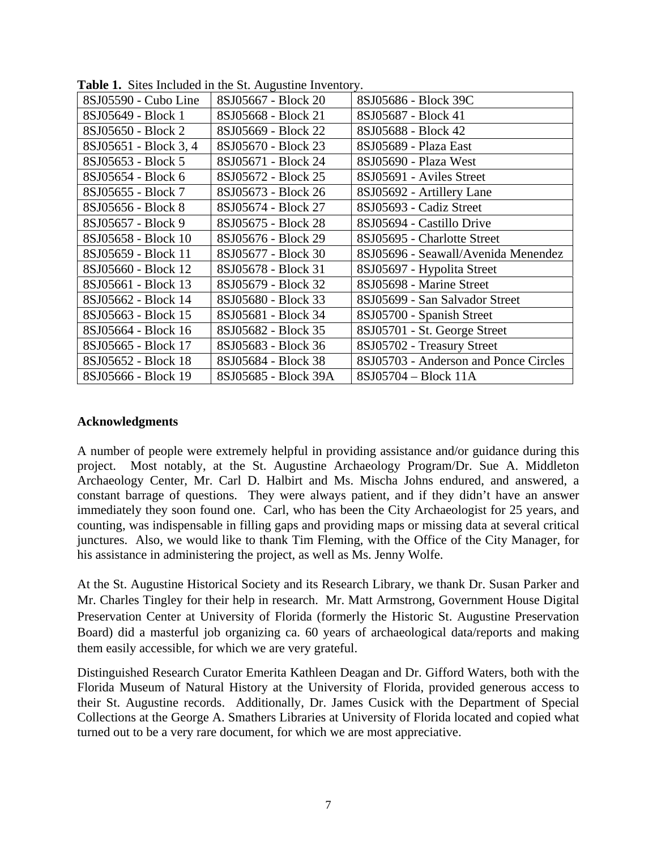| <b>radio 1.</b> Dries menudeu in the St. Tugustine inventory. |                      |                                       |  |  |  |
|---------------------------------------------------------------|----------------------|---------------------------------------|--|--|--|
| 8SJ05590 - Cubo Line                                          | 8SJ05667 - Block 20  | 8SJ05686 - Block 39C                  |  |  |  |
| 8SJ05649 - Block 1                                            | 8SJ05668 - Block 21  | 8SJ05687 - Block 41                   |  |  |  |
| 8SJ05650 - Block 2                                            | 8SJ05669 - Block 22  | 8SJ05688 - Block 42                   |  |  |  |
| 8SJ05651 - Block 3, 4                                         | 8SJ05670 - Block 23  | 8SJ05689 - Plaza East                 |  |  |  |
| 8SJ05653 - Block 5                                            | 8SJ05671 - Block 24  | 8SJ05690 - Plaza West                 |  |  |  |
| 8SJ05654 - Block 6                                            | 8SJ05672 - Block 25  | 8SJ05691 - Aviles Street              |  |  |  |
| 8SJ05655 - Block 7                                            | 8SJ05673 - Block 26  | 8SJ05692 - Artillery Lane             |  |  |  |
| 8SJ05656 - Block 8                                            | 8SJ05674 - Block 27  | 8SJ05693 - Cadiz Street               |  |  |  |
| 8SJ05657 - Block 9                                            | 8SJ05675 - Block 28  | 8SJ05694 - Castillo Drive             |  |  |  |
| 8SJ05658 - Block 10                                           | 8SJ05676 - Block 29  | 8SJ05695 - Charlotte Street           |  |  |  |
| 8SJ05659 - Block 11                                           | 8SJ05677 - Block 30  | 8SJ05696 - Seawall/Avenida Menendez   |  |  |  |
| 8SJ05660 - Block 12                                           | 8SJ05678 - Block 31  | 8SJ05697 - Hypolita Street            |  |  |  |
| 8SJ05661 - Block 13                                           | 8SJ05679 - Block 32  | 8SJ05698 - Marine Street              |  |  |  |
| 8SJ05662 - Block 14                                           | 8SJ05680 - Block 33  | 8SJ05699 - San Salvador Street        |  |  |  |
| 8SJ05663 - Block 15                                           | 8SJ05681 - Block 34  | 8SJ05700 - Spanish Street             |  |  |  |
| 8SJ05664 - Block 16                                           | 8SJ05682 - Block 35  | 8SJ05701 - St. George Street          |  |  |  |
| 8SJ05665 - Block 17                                           | 8SJ05683 - Block 36  | 8SJ05702 - Treasury Street            |  |  |  |
| 8SJ05652 - Block 18                                           | 8SJ05684 - Block 38  | 8SJ05703 - Anderson and Ponce Circles |  |  |  |
| 8SJ05666 - Block 19                                           | 8SJ05685 - Block 39A | 8SJ05704 - Block 11A                  |  |  |  |

**Table 1.** Sites Included in the St. Augustine Inventory.

#### **Acknowledgments**

A number of people were extremely helpful in providing assistance and/or guidance during this project. Most notably, at the St. Augustine Archaeology Program/Dr. Sue A. Middleton Archaeology Center, Mr. Carl D. Halbirt and Ms. Mischa Johns endured, and answered, a constant barrage of questions. They were always patient, and if they didn't have an answer immediately they soon found one. Carl, who has been the City Archaeologist for 25 years, and counting, was indispensable in filling gaps and providing maps or missing data at several critical junctures. Also, we would like to thank Tim Fleming, with the Office of the City Manager, for his assistance in administering the project, as well as Ms. Jenny Wolfe.

At the St. Augustine Historical Society and its Research Library, we thank Dr. Susan Parker and Mr. Charles Tingley for their help in research. Mr. Matt Armstrong, Government House Digital Preservation Center at University of Florida (formerly the Historic St. Augustine Preservation Board) did a masterful job organizing ca. 60 years of archaeological data/reports and making them easily accessible, for which we are very grateful.

Distinguished Research Curator Emerita Kathleen Deagan and Dr. Gifford Waters, both with the Florida Museum of Natural History at the University of Florida, provided generous access to their St. Augustine records. Additionally, Dr. James Cusick with the Department of Special Collections at the George A. Smathers Libraries at University of Florida located and copied what turned out to be a very rare document, for which we are most appreciative.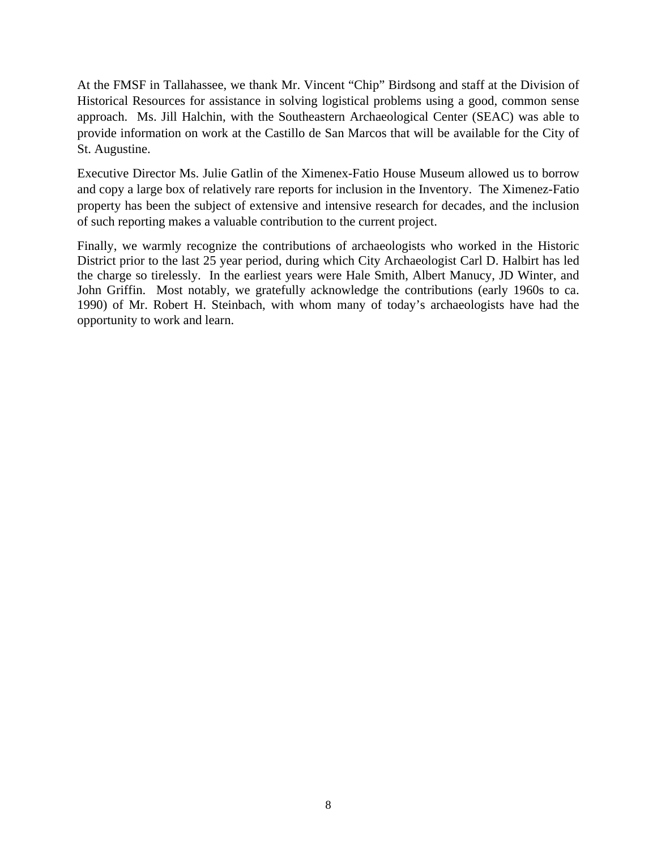At the FMSF in Tallahassee, we thank Mr. Vincent "Chip" Birdsong and staff at the Division of Historical Resources for assistance in solving logistical problems using a good, common sense approach. Ms. Jill Halchin, with the Southeastern Archaeological Center (SEAC) was able to provide information on work at the Castillo de San Marcos that will be available for the City of St. Augustine.

Executive Director Ms. Julie Gatlin of the Ximenex-Fatio House Museum allowed us to borrow and copy a large box of relatively rare reports for inclusion in the Inventory. The Ximenez-Fatio property has been the subject of extensive and intensive research for decades, and the inclusion of such reporting makes a valuable contribution to the current project.

Finally, we warmly recognize the contributions of archaeologists who worked in the Historic District prior to the last 25 year period, during which City Archaeologist Carl D. Halbirt has led the charge so tirelessly. In the earliest years were Hale Smith, Albert Manucy, JD Winter, and John Griffin. Most notably, we gratefully acknowledge the contributions (early 1960s to ca. 1990) of Mr. Robert H. Steinbach, with whom many of today's archaeologists have had the opportunity to work and learn.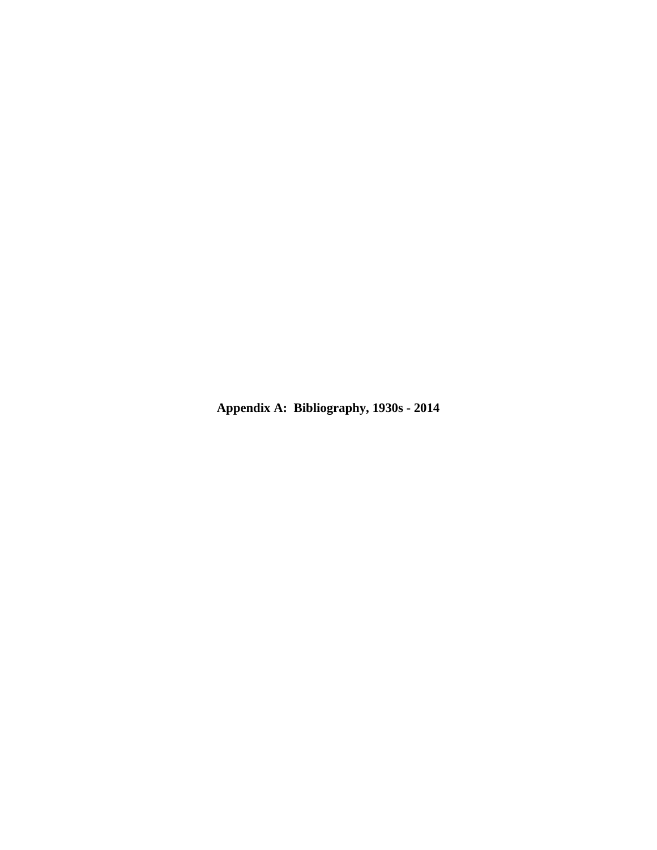**Appendix A: Bibliography, 1930s - 2014**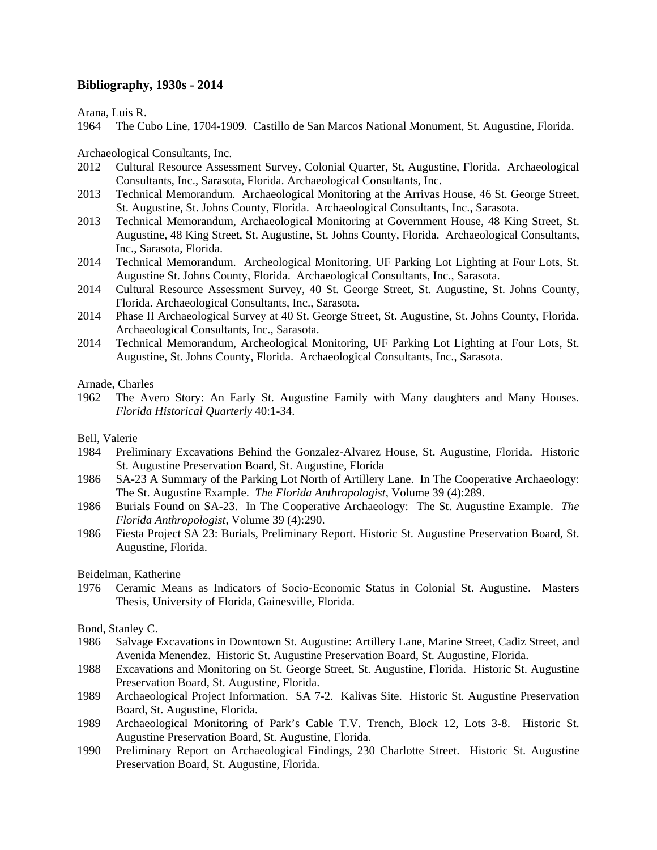#### **Bibliography, 1930s - 2014**

Arana, Luis R.

1964 The Cubo Line, 1704-1909. Castillo de San Marcos National Monument, St. Augustine, Florida.

Archaeological Consultants, Inc.

- 2012 Cultural Resource Assessment Survey, Colonial Quarter, St, Augustine, Florida. Archaeological Consultants, Inc., Sarasota, Florida. Archaeological Consultants, Inc.
- 2013 Technical Memorandum. Archaeological Monitoring at the Arrivas House, 46 St. George Street, St. Augustine, St. Johns County, Florida. Archaeological Consultants, Inc., Sarasota.
- 2013 Technical Memorandum, Archaeological Monitoring at Government House, 48 King Street, St. Augustine, 48 King Street, St. Augustine, St. Johns County, Florida. Archaeological Consultants, Inc., Sarasota, Florida.
- 2014 Technical Memorandum. Archeological Monitoring, UF Parking Lot Lighting at Four Lots, St. Augustine St. Johns County, Florida. Archaeological Consultants, Inc., Sarasota.
- 2014 Cultural Resource Assessment Survey, 40 St. George Street, St. Augustine, St. Johns County, Florida. Archaeological Consultants, Inc., Sarasota.
- 2014 Phase II Archaeological Survey at 40 St. George Street, St. Augustine, St. Johns County, Florida. Archaeological Consultants, Inc., Sarasota.
- 2014 Technical Memorandum, Archeological Monitoring, UF Parking Lot Lighting at Four Lots, St. Augustine, St. Johns County, Florida. Archaeological Consultants, Inc., Sarasota.

Arnade, Charles

1962 The Avero Story: An Early St. Augustine Family with Many daughters and Many Houses. *Florida Historical Quarterly* 40:1-34.

#### Bell, Valerie

- 1984 Preliminary Excavations Behind the Gonzalez-Alvarez House, St. Augustine, Florida. Historic St. Augustine Preservation Board, St. Augustine, Florida
- 1986 SA-23 A Summary of the Parking Lot North of Artillery Lane. In The Cooperative Archaeology: The St. Augustine Example. *The Florida Anthropologist*, Volume 39 (4):289.
- 1986 Burials Found on SA-23. In The Cooperative Archaeology: The St. Augustine Example. *The Florida Anthropologist*, Volume 39 (4):290.
- 1986 Fiesta Project SA 23: Burials, Preliminary Report. Historic St. Augustine Preservation Board, St. Augustine, Florida.

#### Beidelman, Katherine

1976 Ceramic Means as Indicators of Socio-Economic Status in Colonial St. Augustine. Masters Thesis, University of Florida, Gainesville, Florida.

#### Bond, Stanley C.

- 1986 Salvage Excavations in Downtown St. Augustine: Artillery Lane, Marine Street, Cadiz Street, and Avenida Menendez. Historic St. Augustine Preservation Board, St. Augustine, Florida.
- 1988 Excavations and Monitoring on St. George Street, St. Augustine, Florida. Historic St. Augustine Preservation Board, St. Augustine, Florida.
- 1989 Archaeological Project Information. SA 7-2. Kalivas Site. Historic St. Augustine Preservation Board, St. Augustine, Florida.
- 1989 Archaeological Monitoring of Park's Cable T.V. Trench, Block 12, Lots 3-8. Historic St. Augustine Preservation Board, St. Augustine, Florida.
- 1990 Preliminary Report on Archaeological Findings, 230 Charlotte Street. Historic St. Augustine Preservation Board, St. Augustine, Florida.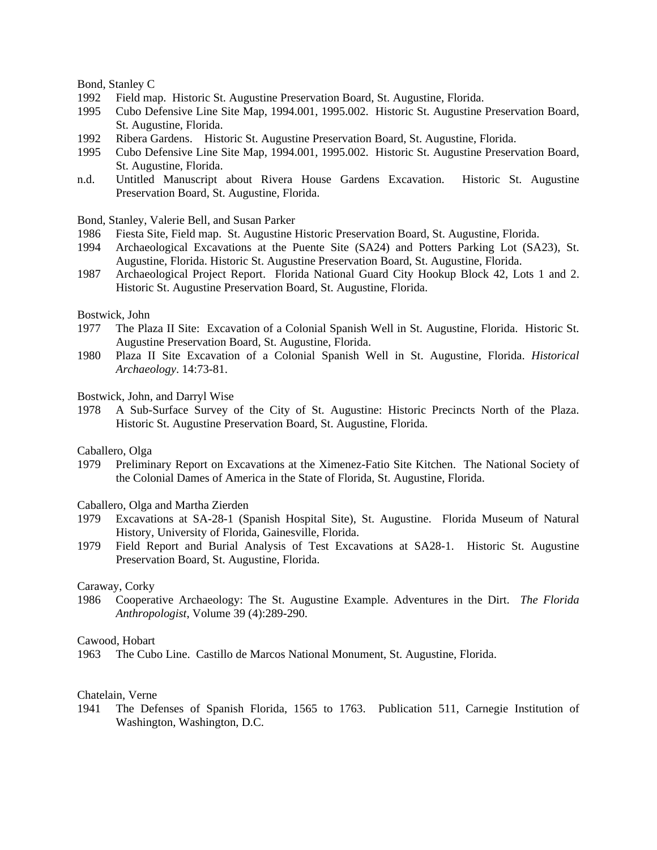Bond, Stanley C

- 1992 Field map. Historic St. Augustine Preservation Board, St. Augustine, Florida.
- 1995 Cubo Defensive Line Site Map, 1994.001, 1995.002. Historic St. Augustine Preservation Board, St. Augustine, Florida.
- 1992 Ribera Gardens. Historic St. Augustine Preservation Board, St. Augustine, Florida.
- 1995 Cubo Defensive Line Site Map, 1994.001, 1995.002. Historic St. Augustine Preservation Board, St. Augustine, Florida.
- n.d. Untitled Manuscript about Rivera House Gardens Excavation. Historic St. Augustine Preservation Board, St. Augustine, Florida.

Bond, Stanley, Valerie Bell, and Susan Parker

- 1986 Fiesta Site, Field map. St. Augustine Historic Preservation Board, St. Augustine, Florida.
- 1994 Archaeological Excavations at the Puente Site (SA24) and Potters Parking Lot (SA23), St. Augustine, Florida. Historic St. Augustine Preservation Board, St. Augustine, Florida.
- 1987 Archaeological Project Report. Florida National Guard City Hookup Block 42, Lots 1 and 2. Historic St. Augustine Preservation Board, St. Augustine, Florida.

#### Bostwick, John

- 1977 The Plaza II Site: Excavation of a Colonial Spanish Well in St. Augustine, Florida. Historic St. Augustine Preservation Board, St. Augustine, Florida.
- 1980 Plaza II Site Excavation of a Colonial Spanish Well in St. Augustine, Florida. *Historical Archaeology*. 14:73-81.

Bostwick, John, and Darryl Wise

1978 A Sub-Surface Survey of the City of St. Augustine: Historic Precincts North of the Plaza. Historic St. Augustine Preservation Board, St. Augustine, Florida.

#### Caballero, Olga

1979 Preliminary Report on Excavations at the Ximenez-Fatio Site Kitchen. The National Society of the Colonial Dames of America in the State of Florida, St. Augustine, Florida.

#### Caballero, Olga and Martha Zierden

- 1979 Excavations at SA-28-1 (Spanish Hospital Site), St. Augustine. Florida Museum of Natural History, University of Florida, Gainesville, Florida.
- 1979 Field Report and Burial Analysis of Test Excavations at SA28-1. Historic St. Augustine Preservation Board, St. Augustine, Florida.

#### Caraway, Corky

1986 Cooperative Archaeology: The St. Augustine Example. Adventures in the Dirt. *The Florida Anthropologist*, Volume 39 (4):289-290.

#### Cawood, Hobart

1963 The Cubo Line. Castillo de Marcos National Monument, St. Augustine, Florida.

#### Chatelain, Verne

1941 The Defenses of Spanish Florida, 1565 to 1763. Publication 511, Carnegie Institution of Washington, Washington, D.C.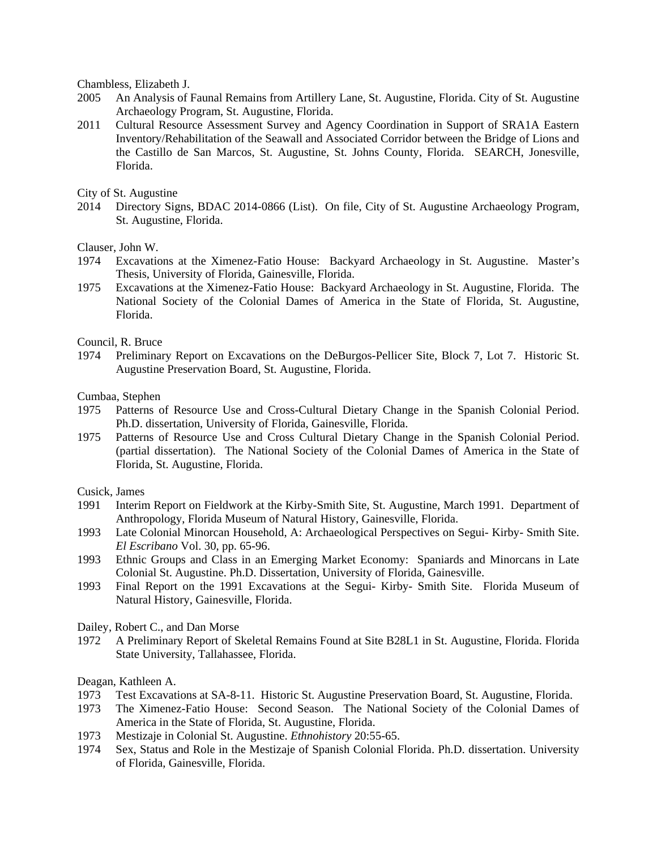Chambless, Elizabeth J.

- 2005 An Analysis of Faunal Remains from Artillery Lane, St. Augustine, Florida. City of St. Augustine Archaeology Program, St. Augustine, Florida.
- 2011 Cultural Resource Assessment Survey and Agency Coordination in Support of SRA1A Eastern Inventory/Rehabilitation of the Seawall and Associated Corridor between the Bridge of Lions and the Castillo de San Marcos, St. Augustine, St. Johns County, Florida. SEARCH, Jonesville, Florida.

City of St. Augustine

2014 Directory Signs, BDAC 2014-0866 (List). On file, City of St. Augustine Archaeology Program, St. Augustine, Florida.

Clauser, John W.

- 1974 Excavations at the Ximenez-Fatio House: Backyard Archaeology in St. Augustine. Master's Thesis, University of Florida, Gainesville, Florida.
- 1975 Excavations at the Ximenez-Fatio House: Backyard Archaeology in St. Augustine, Florida. The National Society of the Colonial Dames of America in the State of Florida, St. Augustine, Florida.

Council, R. Bruce

1974 Preliminary Report on Excavations on the DeBurgos-Pellicer Site, Block 7, Lot 7. Historic St. Augustine Preservation Board, St. Augustine, Florida.

Cumbaa, Stephen

- 1975 Patterns of Resource Use and Cross-Cultural Dietary Change in the Spanish Colonial Period. Ph.D. dissertation, University of Florida, Gainesville, Florida.
- 1975 Patterns of Resource Use and Cross Cultural Dietary Change in the Spanish Colonial Period. (partial dissertation). The National Society of the Colonial Dames of America in the State of Florida, St. Augustine, Florida.

Cusick, James

- 1991 Interim Report on Fieldwork at the Kirby-Smith Site, St. Augustine, March 1991. Department of Anthropology, Florida Museum of Natural History, Gainesville, Florida.
- 1993 Late Colonial Minorcan Household, A: Archaeological Perspectives on Segui- Kirby- Smith Site. *El Escribano* Vol. 30, pp. 65-96.
- 1993 Ethnic Groups and Class in an Emerging Market Economy: Spaniards and Minorcans in Late Colonial St. Augustine. Ph.D. Dissertation, University of Florida, Gainesville.
- 1993 Final Report on the 1991 Excavations at the Segui- Kirby- Smith Site. Florida Museum of Natural History, Gainesville, Florida.

Dailey, Robert C., and Dan Morse

1972 A Preliminary Report of Skeletal Remains Found at Site B28L1 in St. Augustine, Florida. Florida State University, Tallahassee, Florida.

Deagan, Kathleen A.

- 1973 Test Excavations at SA-8-11. Historic St. Augustine Preservation Board, St. Augustine, Florida.
- 1973 The Ximenez-Fatio House: Second Season. The National Society of the Colonial Dames of America in the State of Florida, St. Augustine, Florida.
- 1973 Mestizaje in Colonial St. Augustine. *Ethnohistory* 20:55-65.
- 1974 Sex, Status and Role in the Mestizaje of Spanish Colonial Florida. Ph.D. dissertation. University of Florida, Gainesville, Florida.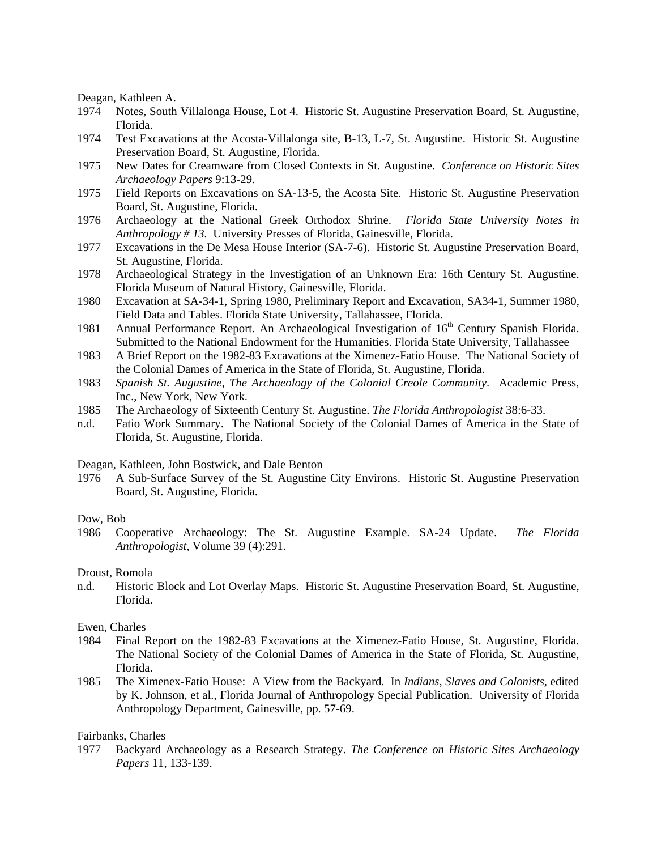Deagan, Kathleen A.

- 1974 Notes, South Villalonga House, Lot 4. Historic St. Augustine Preservation Board, St. Augustine, Florida.
- 1974 Test Excavations at the Acosta-Villalonga site, B-13, L-7, St. Augustine. Historic St. Augustine Preservation Board, St. Augustine, Florida.
- 1975 New Dates for Creamware from Closed Contexts in St. Augustine. *Conference on Historic Sites Archaeology Papers* 9:13-29.
- 1975 Field Reports on Excavations on SA-13-5, the Acosta Site. Historic St. Augustine Preservation Board, St. Augustine, Florida.
- 1976 Archaeology at the National Greek Orthodox Shrine. *Florida State University Notes in Anthropology # 13.* University Presses of Florida, Gainesville, Florida.
- 1977 Excavations in the De Mesa House Interior (SA-7-6). Historic St. Augustine Preservation Board, St. Augustine, Florida.
- 1978 Archaeological Strategy in the Investigation of an Unknown Era: 16th Century St. Augustine. Florida Museum of Natural History, Gainesville, Florida.
- 1980 Excavation at SA-34-1, Spring 1980, Preliminary Report and Excavation, SA34-1, Summer 1980, Field Data and Tables. Florida State University, Tallahassee, Florida.
- 1981 Annual Performance Report. An Archaeological Investigation of 16<sup>th</sup> Century Spanish Florida. Submitted to the National Endowment for the Humanities. Florida State University, Tallahassee
- 1983 A Brief Report on the 1982-83 Excavations at the Ximenez-Fatio House. The National Society of the Colonial Dames of America in the State of Florida, St. Augustine, Florida.
- 1983 *Spanish St. Augustine, The Archaeology of the Colonial Creole Community*. Academic Press, Inc., New York, New York.
- 1985 The Archaeology of Sixteenth Century St. Augustine. *The Florida Anthropologist* 38:6-33.
- n.d. Fatio Work Summary. The National Society of the Colonial Dames of America in the State of Florida, St. Augustine, Florida.

#### Deagan, Kathleen, John Bostwick, and Dale Benton

1976 A Sub-Surface Survey of the St. Augustine City Environs. Historic St. Augustine Preservation Board, St. Augustine, Florida.

#### Dow, Bob

1986 Cooperative Archaeology: The St. Augustine Example. SA-24 Update. *The Florida Anthropologist*, Volume 39 (4):291.

#### Droust, Romola

n.d. Historic Block and Lot Overlay Maps. Historic St. Augustine Preservation Board, St. Augustine, Florida.

#### Ewen, Charles

- 1984 Final Report on the 1982-83 Excavations at the Ximenez-Fatio House, St. Augustine, Florida. The National Society of the Colonial Dames of America in the State of Florida, St. Augustine, Florida.
- 1985 The Ximenex-Fatio House: A View from the Backyard. In *Indians, Slaves and Colonists*, edited by K. Johnson, et al., Florida Journal of Anthropology Special Publication. University of Florida Anthropology Department, Gainesville, pp. 57-69.

#### Fairbanks, Charles

1977 Backyard Archaeology as a Research Strategy. *The Conference on Historic Sites Archaeology Papers* 11, 133-139.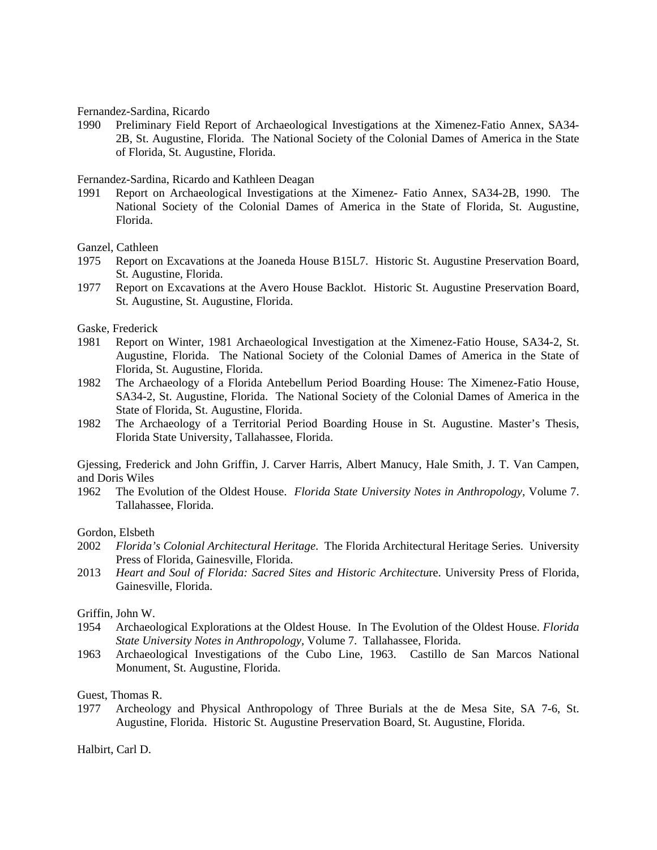Fernandez-Sardina, Ricardo

1990 Preliminary Field Report of Archaeological Investigations at the Ximenez-Fatio Annex, SA34- 2B, St. Augustine, Florida. The National Society of the Colonial Dames of America in the State of Florida, St. Augustine, Florida.

Fernandez-Sardina, Ricardo and Kathleen Deagan

1991 Report on Archaeological Investigations at the Ximenez- Fatio Annex, SA34-2B, 1990. The National Society of the Colonial Dames of America in the State of Florida, St. Augustine, Florida.

Ganzel, Cathleen

- 1975 Report on Excavations at the Joaneda House B15L7. Historic St. Augustine Preservation Board, St. Augustine, Florida.
- 1977 Report on Excavations at the Avero House Backlot. Historic St. Augustine Preservation Board, St. Augustine, St. Augustine, Florida.

Gaske, Frederick

- 1981 Report on Winter, 1981 Archaeological Investigation at the Ximenez-Fatio House, SA34-2, St. Augustine, Florida. The National Society of the Colonial Dames of America in the State of Florida, St. Augustine, Florida.
- 1982 The Archaeology of a Florida Antebellum Period Boarding House: The Ximenez-Fatio House, SA34-2, St. Augustine, Florida. The National Society of the Colonial Dames of America in the State of Florida, St. Augustine, Florida.
- 1982 The Archaeology of a Territorial Period Boarding House in St. Augustine. Master's Thesis, Florida State University, Tallahassee, Florida.

Gjessing, Frederick and John Griffin, J. Carver Harris, Albert Manucy, Hale Smith, J. T. Van Campen, and Doris Wiles

1962 The Evolution of the Oldest House. *Florida State University Notes in Anthropology,* Volume 7. Tallahassee, Florida.

#### Gordon, Elsbeth

- 2002 *Florida's Colonial Architectural Heritage*. The Florida Architectural Heritage Series. University Press of Florida, Gainesville, Florida.
- 2013 *Heart and Soul of Florida: Sacred Sites and Historic Architectu*re. University Press of Florida, Gainesville, Florida.

#### Griffin, John W.

- 1954 Archaeological Explorations at the Oldest House. In The Evolution of the Oldest House. *Florida State University Notes in Anthropology,* Volume 7. Tallahassee, Florida.
- 1963 Archaeological Investigations of the Cubo Line, 1963. Castillo de San Marcos National Monument, St. Augustine, Florida.

Guest, Thomas R.

1977 Archeology and Physical Anthropology of Three Burials at the de Mesa Site, SA 7-6, St. Augustine, Florida. Historic St. Augustine Preservation Board, St. Augustine, Florida.

Halbirt, Carl D.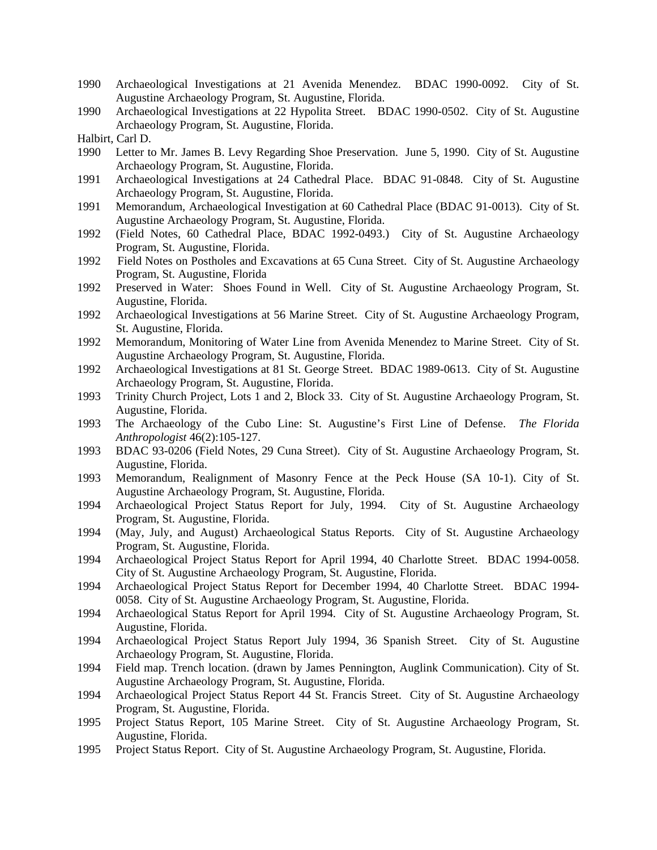- 1990 Archaeological Investigations at 21 Avenida Menendez. BDAC 1990-0092. City of St. Augustine Archaeology Program, St. Augustine, Florida.
- 1990 Archaeological Investigations at 22 Hypolita Street. BDAC 1990-0502. City of St. Augustine Archaeology Program, St. Augustine, Florida.
- Halbirt, Carl D.
- 1990 Letter to Mr. James B. Levy Regarding Shoe Preservation. June 5, 1990. City of St. Augustine Archaeology Program, St. Augustine, Florida.
- 1991 Archaeological Investigations at 24 Cathedral Place. BDAC 91-0848. City of St. Augustine Archaeology Program, St. Augustine, Florida.
- 1991 Memorandum, Archaeological Investigation at 60 Cathedral Place (BDAC 91-0013). City of St. Augustine Archaeology Program, St. Augustine, Florida.
- 1992 (Field Notes, 60 Cathedral Place, BDAC 1992-0493.) City of St. Augustine Archaeology Program, St. Augustine, Florida.
- 1992 Field Notes on Postholes and Excavations at 65 Cuna Street. City of St. Augustine Archaeology Program, St. Augustine, Florida
- 1992 Preserved in Water: Shoes Found in Well. City of St. Augustine Archaeology Program, St. Augustine, Florida.
- 1992 Archaeological Investigations at 56 Marine Street. City of St. Augustine Archaeology Program, St. Augustine, Florida.
- 1992 Memorandum, Monitoring of Water Line from Avenida Menendez to Marine Street. City of St. Augustine Archaeology Program, St. Augustine, Florida.
- 1992 Archaeological Investigations at 81 St. George Street. BDAC 1989-0613. City of St. Augustine Archaeology Program, St. Augustine, Florida.
- 1993 Trinity Church Project, Lots 1 and 2, Block 33. City of St. Augustine Archaeology Program, St. Augustine, Florida.
- 1993 The Archaeology of the Cubo Line: St. Augustine's First Line of Defense. *The Florida Anthropologist* 46(2):105-127.
- 1993 BDAC 93-0206 (Field Notes, 29 Cuna Street). City of St. Augustine Archaeology Program, St. Augustine, Florida.
- 1993 Memorandum, Realignment of Masonry Fence at the Peck House (SA 10-1). City of St. Augustine Archaeology Program, St. Augustine, Florida.
- 1994 Archaeological Project Status Report for July, 1994. City of St. Augustine Archaeology Program, St. Augustine, Florida.
- 1994 (May, July, and August) Archaeological Status Reports. City of St. Augustine Archaeology Program, St. Augustine, Florida.
- 1994 Archaeological Project Status Report for April 1994, 40 Charlotte Street. BDAC 1994-0058. City of St. Augustine Archaeology Program, St. Augustine, Florida.
- 1994 Archaeological Project Status Report for December 1994, 40 Charlotte Street. BDAC 1994- 0058. City of St. Augustine Archaeology Program, St. Augustine, Florida.
- 1994 Archaeological Status Report for April 1994. City of St. Augustine Archaeology Program, St. Augustine, Florida.
- 1994 Archaeological Project Status Report July 1994, 36 Spanish Street. City of St. Augustine Archaeology Program, St. Augustine, Florida.
- 1994 Field map. Trench location. (drawn by James Pennington, Auglink Communication). City of St. Augustine Archaeology Program, St. Augustine, Florida.
- 1994 Archaeological Project Status Report 44 St. Francis Street. City of St. Augustine Archaeology Program, St. Augustine, Florida.
- 1995 Project Status Report, 105 Marine Street. City of St. Augustine Archaeology Program, St. Augustine, Florida.
- 1995 Project Status Report. City of St. Augustine Archaeology Program, St. Augustine, Florida.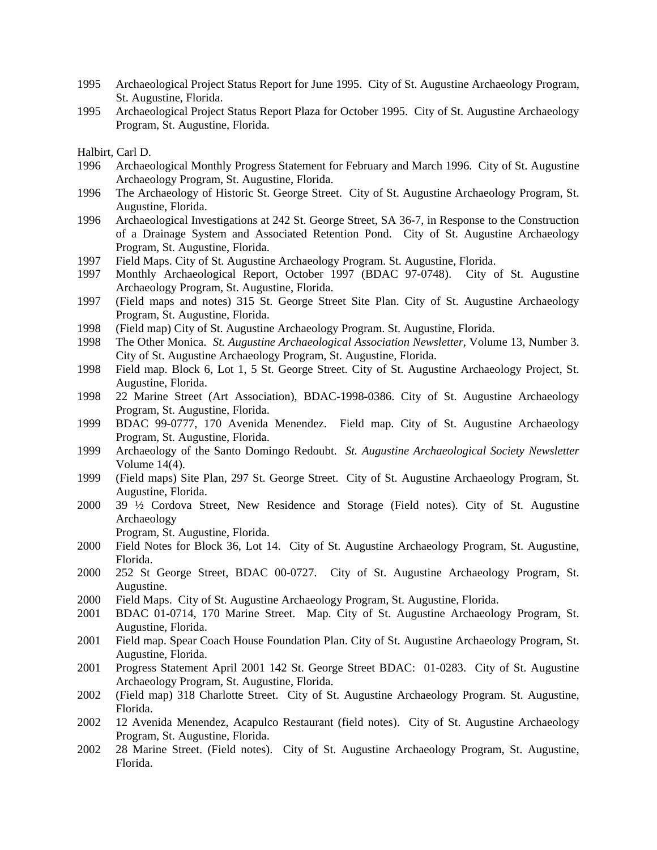- 1995 Archaeological Project Status Report for June 1995. City of St. Augustine Archaeology Program, St. Augustine, Florida.
- 1995 Archaeological Project Status Report Plaza for October 1995. City of St. Augustine Archaeology Program, St. Augustine, Florida.

- 1996 Archaeological Monthly Progress Statement for February and March 1996. City of St. Augustine Archaeology Program, St. Augustine, Florida.
- 1996 The Archaeology of Historic St. George Street. City of St. Augustine Archaeology Program, St. Augustine, Florida.
- 1996 Archaeological Investigations at 242 St. George Street, SA 36-7, in Response to the Construction of a Drainage System and Associated Retention Pond. City of St. Augustine Archaeology Program, St. Augustine, Florida.
- 1997 Field Maps. City of St. Augustine Archaeology Program. St. Augustine, Florida.
- 1997 Monthly Archaeological Report, October 1997 (BDAC 97-0748). City of St. Augustine Archaeology Program, St. Augustine, Florida.
- 1997 (Field maps and notes) 315 St. George Street Site Plan. City of St. Augustine Archaeology Program, St. Augustine, Florida.
- 1998 (Field map) City of St. Augustine Archaeology Program. St. Augustine, Florida.
- 1998 The Other Monica. *St. Augustine Archaeological Association Newsletter*, Volume 13, Number 3. City of St. Augustine Archaeology Program, St. Augustine, Florida.
- 1998 Field map. Block 6, Lot 1, 5 St. George Street. City of St. Augustine Archaeology Project, St. Augustine, Florida.
- 1998 22 Marine Street (Art Association), BDAC-1998-0386. City of St. Augustine Archaeology Program, St. Augustine, Florida.
- 1999 BDAC 99-0777, 170 Avenida Menendez. Field map. City of St. Augustine Archaeology Program, St. Augustine, Florida.
- 1999 Archaeology of the Santo Domingo Redoubt. *St. Augustine Archaeological Society Newsletter* Volume 14(4).
- 1999 (Field maps) Site Plan, 297 St. George Street. City of St. Augustine Archaeology Program, St. Augustine, Florida.
- 2000 39 ½ Cordova Street, New Residence and Storage (Field notes). City of St. Augustine Archaeology

Program, St. Augustine, Florida.

- 2000 Field Notes for Block 36, Lot 14. City of St. Augustine Archaeology Program, St. Augustine, Florida.
- 2000 252 St George Street, BDAC 00-0727. City of St. Augustine Archaeology Program, St. Augustine.
- 2000 Field Maps. City of St. Augustine Archaeology Program, St. Augustine, Florida.
- 2001 BDAC 01-0714, 170 Marine Street. Map. City of St. Augustine Archaeology Program, St. Augustine, Florida.
- 2001 Field map. Spear Coach House Foundation Plan. City of St. Augustine Archaeology Program, St. Augustine, Florida.
- 2001 Progress Statement April 2001 142 St. George Street BDAC: 01-0283. City of St. Augustine Archaeology Program, St. Augustine, Florida.
- 2002 (Field map) 318 Charlotte Street. City of St. Augustine Archaeology Program. St. Augustine, Florida.
- 2002 12 Avenida Menendez, Acapulco Restaurant (field notes). City of St. Augustine Archaeology Program, St. Augustine, Florida.
- 2002 28 Marine Street. (Field notes). City of St. Augustine Archaeology Program, St. Augustine, Florida.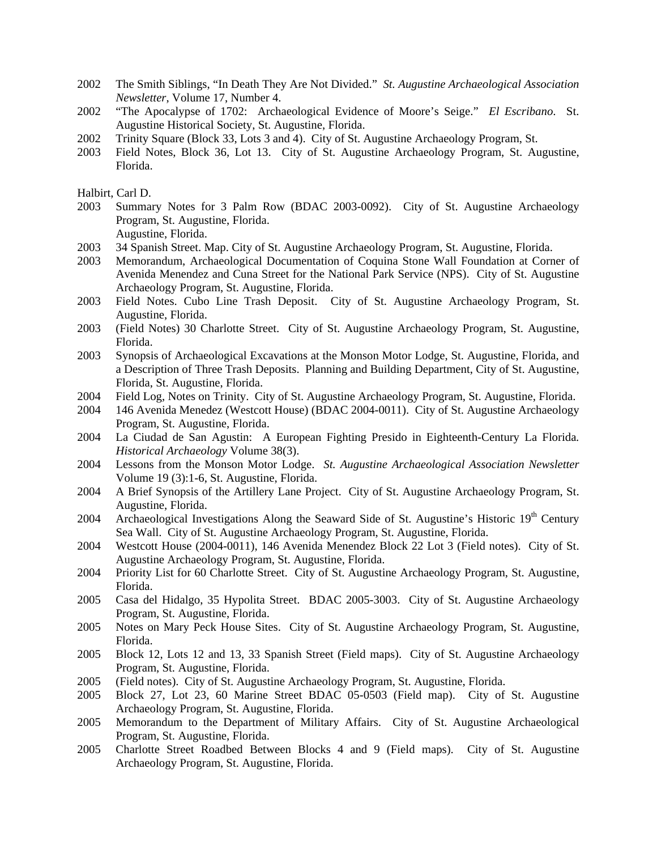- 2002 The Smith Siblings, "In Death They Are Not Divided." *St. Augustine Archaeological Association Newsletter*, Volume 17, Number 4.
- 2002 "The Apocalypse of 1702: Archaeological Evidence of Moore's Seige." *El Escribano*. St. Augustine Historical Society, St. Augustine, Florida.
- 2002 Trinity Square (Block 33, Lots 3 and 4). City of St. Augustine Archaeology Program, St.
- 2003 Field Notes, Block 36, Lot 13. City of St. Augustine Archaeology Program, St. Augustine, Florida.

- 2003 Summary Notes for 3 Palm Row (BDAC 2003-0092). City of St. Augustine Archaeology Program, St. Augustine, Florida. Augustine, Florida.
- 2003 34 Spanish Street. Map. City of St. Augustine Archaeology Program, St. Augustine, Florida.
- 2003 Memorandum, Archaeological Documentation of Coquina Stone Wall Foundation at Corner of Avenida Menendez and Cuna Street for the National Park Service (NPS). City of St. Augustine Archaeology Program, St. Augustine, Florida.
- 2003 Field Notes. Cubo Line Trash Deposit. City of St. Augustine Archaeology Program, St. Augustine, Florida.
- 2003 (Field Notes) 30 Charlotte Street. City of St. Augustine Archaeology Program, St. Augustine, Florida.
- 2003 Synopsis of Archaeological Excavations at the Monson Motor Lodge, St. Augustine, Florida, and a Description of Three Trash Deposits. Planning and Building Department, City of St. Augustine, Florida, St. Augustine, Florida.
- 2004 Field Log, Notes on Trinity. City of St. Augustine Archaeology Program, St. Augustine, Florida.
- 2004 146 Avenida Menedez (Westcott House) (BDAC 2004-0011). City of St. Augustine Archaeology Program, St. Augustine, Florida.
- 2004 La Ciudad de San Agustin: A European Fighting Presido in Eighteenth-Century La Florida*. Historical Archaeology* Volume 38(3).
- 2004 Lessons from the Monson Motor Lodge. *St. Augustine Archaeological Association Newsletter*  Volume 19 (3):1-6, St. Augustine, Florida.
- 2004 A Brief Synopsis of the Artillery Lane Project. City of St. Augustine Archaeology Program, St. Augustine, Florida.
- 2004 Archaeological Investigations Along the Seaward Side of St. Augustine's Historic 19<sup>th</sup> Century Sea Wall. City of St. Augustine Archaeology Program, St. Augustine, Florida.
- 2004 Westcott House (2004-0011), 146 Avenida Menendez Block 22 Lot 3 (Field notes). City of St. Augustine Archaeology Program, St. Augustine, Florida.
- 2004 Priority List for 60 Charlotte Street. City of St. Augustine Archaeology Program, St. Augustine, Florida.
- 2005 Casa del Hidalgo, 35 Hypolita Street. BDAC 2005-3003. City of St. Augustine Archaeology Program, St. Augustine, Florida.
- 2005 Notes on Mary Peck House Sites. City of St. Augustine Archaeology Program, St. Augustine, Florida.
- 2005 Block 12, Lots 12 and 13, 33 Spanish Street (Field maps). City of St. Augustine Archaeology Program, St. Augustine, Florida.
- 2005 (Field notes). City of St. Augustine Archaeology Program, St. Augustine, Florida.
- 2005 Block 27, Lot 23, 60 Marine Street BDAC 05-0503 (Field map). City of St. Augustine Archaeology Program, St. Augustine, Florida.
- 2005 Memorandum to the Department of Military Affairs. City of St. Augustine Archaeological Program, St. Augustine, Florida.
- 2005 Charlotte Street Roadbed Between Blocks 4 and 9 (Field maps). City of St. Augustine Archaeology Program, St. Augustine, Florida.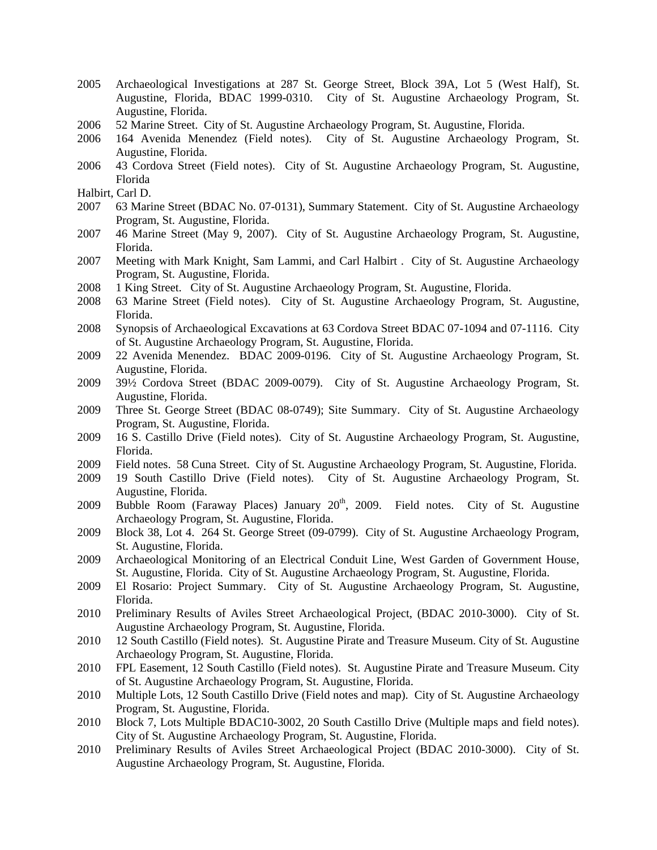- 2005 Archaeological Investigations at 287 St. George Street, Block 39A, Lot 5 (West Half), St. Augustine, Florida, BDAC 1999-0310. City of St. Augustine Archaeology Program, St. Augustine, Florida.
- 2006 52 Marine Street. City of St. Augustine Archaeology Program, St. Augustine, Florida.
- 2006 164 Avenida Menendez (Field notes). City of St. Augustine Archaeology Program, St. Augustine, Florida.
- 2006 43 Cordova Street (Field notes). City of St. Augustine Archaeology Program, St. Augustine, Florida
- Halbirt, Carl D.
- 2007 63 Marine Street (BDAC No. 07-0131), Summary Statement. City of St. Augustine Archaeology Program, St. Augustine, Florida.
- 2007 46 Marine Street (May 9, 2007). City of St. Augustine Archaeology Program, St. Augustine, Florida.
- 2007 Meeting with Mark Knight, Sam Lammi, and Carl Halbirt . City of St. Augustine Archaeology Program, St. Augustine, Florida.
- 2008 1 King Street. City of St. Augustine Archaeology Program, St. Augustine, Florida.
- 2008 63 Marine Street (Field notes). City of St. Augustine Archaeology Program, St. Augustine, Florida.
- 2008 Synopsis of Archaeological Excavations at 63 Cordova Street BDAC 07-1094 and 07-1116. City of St. Augustine Archaeology Program, St. Augustine, Florida.
- 2009 22 Avenida Menendez. BDAC 2009-0196. City of St. Augustine Archaeology Program, St. Augustine, Florida.
- 2009 39½ Cordova Street (BDAC 2009-0079). City of St. Augustine Archaeology Program, St. Augustine, Florida.
- 2009 Three St. George Street (BDAC 08-0749); Site Summary. City of St. Augustine Archaeology Program, St. Augustine, Florida.
- 2009 16 S. Castillo Drive (Field notes). City of St. Augustine Archaeology Program, St. Augustine, Florida.
- 2009 Field notes. 58 Cuna Street. City of St. Augustine Archaeology Program, St. Augustine, Florida.
- 2009 19 South Castillo Drive (Field notes). City of St. Augustine Archaeology Program, St. Augustine, Florida.
- 2009 Bubble Room (Faraway Places) January  $20<sup>th</sup>$ , 2009. Field notes. City of St. Augustine Archaeology Program, St. Augustine, Florida.
- 2009 Block 38, Lot 4. 264 St. George Street (09-0799). City of St. Augustine Archaeology Program, St. Augustine, Florida.
- 2009 Archaeological Monitoring of an Electrical Conduit Line, West Garden of Government House, St. Augustine, Florida. City of St. Augustine Archaeology Program, St. Augustine, Florida.
- 2009 El Rosario: Project Summary. City of St. Augustine Archaeology Program, St. Augustine, Florida.
- 2010 Preliminary Results of Aviles Street Archaeological Project, (BDAC 2010-3000). City of St. Augustine Archaeology Program, St. Augustine, Florida.
- 2010 12 South Castillo (Field notes). St. Augustine Pirate and Treasure Museum. City of St. Augustine Archaeology Program, St. Augustine, Florida.
- 2010 FPL Easement, 12 South Castillo (Field notes). St. Augustine Pirate and Treasure Museum. City of St. Augustine Archaeology Program, St. Augustine, Florida.
- 2010 Multiple Lots, 12 South Castillo Drive (Field notes and map). City of St. Augustine Archaeology Program, St. Augustine, Florida.
- 2010 Block 7, Lots Multiple BDAC10-3002, 20 South Castillo Drive (Multiple maps and field notes). City of St. Augustine Archaeology Program, St. Augustine, Florida.
- 2010 Preliminary Results of Aviles Street Archaeological Project (BDAC 2010-3000). City of St. Augustine Archaeology Program, St. Augustine, Florida.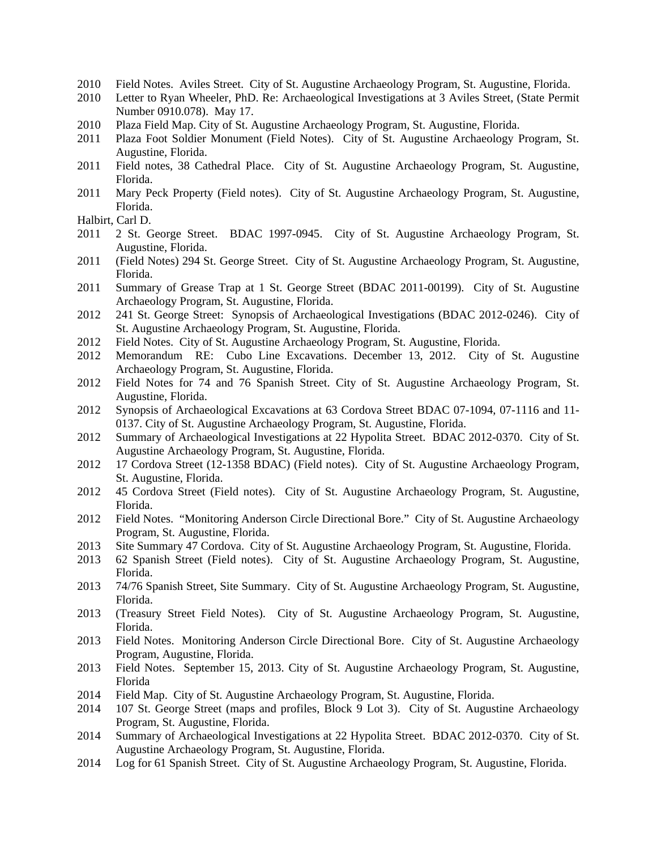- 2010 Field Notes. Aviles Street. City of St. Augustine Archaeology Program, St. Augustine, Florida.
- 2010 Letter to Ryan Wheeler, PhD. Re: Archaeological Investigations at 3 Aviles Street, (State Permit Number 0910.078). May 17.
- 2010 Plaza Field Map. City of St. Augustine Archaeology Program, St. Augustine, Florida.
- 2011 Plaza Foot Soldier Monument (Field Notes). City of St. Augustine Archaeology Program, St. Augustine, Florida.
- 2011 Field notes, 38 Cathedral Place. City of St. Augustine Archaeology Program, St. Augustine, Florida.
- 2011 Mary Peck Property (Field notes). City of St. Augustine Archaeology Program, St. Augustine, Florida.

- 2011 2 St. George Street. BDAC 1997-0945. City of St. Augustine Archaeology Program, St. Augustine, Florida.
- 2011 (Field Notes) 294 St. George Street. City of St. Augustine Archaeology Program, St. Augustine, Florida.
- 2011 Summary of Grease Trap at 1 St. George Street (BDAC 2011-00199). City of St. Augustine Archaeology Program, St. Augustine, Florida.
- 2012 241 St. George Street: Synopsis of Archaeological Investigations (BDAC 2012-0246). City of St. Augustine Archaeology Program, St. Augustine, Florida.
- 2012 Field Notes. City of St. Augustine Archaeology Program, St. Augustine, Florida.
- 2012 Memorandum RE: Cubo Line Excavations. December 13, 2012. City of St. Augustine Archaeology Program, St. Augustine, Florida.
- 2012 Field Notes for 74 and 76 Spanish Street. City of St. Augustine Archaeology Program, St. Augustine, Florida.
- 2012 Synopsis of Archaeological Excavations at 63 Cordova Street BDAC 07-1094, 07-1116 and 11- 0137. City of St. Augustine Archaeology Program, St. Augustine, Florida.
- 2012 Summary of Archaeological Investigations at 22 Hypolita Street. BDAC 2012-0370. City of St. Augustine Archaeology Program, St. Augustine, Florida.
- 2012 17 Cordova Street (12-1358 BDAC) (Field notes). City of St. Augustine Archaeology Program, St. Augustine, Florida.
- 2012 45 Cordova Street (Field notes). City of St. Augustine Archaeology Program, St. Augustine, Florida.
- 2012 Field Notes. "Monitoring Anderson Circle Directional Bore." City of St. Augustine Archaeology Program, St. Augustine, Florida.
- 2013 Site Summary 47 Cordova. City of St. Augustine Archaeology Program, St. Augustine, Florida.
- 2013 62 Spanish Street (Field notes). City of St. Augustine Archaeology Program, St. Augustine, Florida.
- 2013 74/76 Spanish Street, Site Summary. City of St. Augustine Archaeology Program, St. Augustine, Florida.
- 2013 (Treasury Street Field Notes). City of St. Augustine Archaeology Program, St. Augustine, Florida.
- 2013 Field Notes. Monitoring Anderson Circle Directional Bore. City of St. Augustine Archaeology Program, Augustine, Florida.
- 2013 Field Notes. September 15, 2013. City of St. Augustine Archaeology Program, St. Augustine, Florida
- 2014 Field Map. City of St. Augustine Archaeology Program, St. Augustine, Florida.
- 2014 107 St. George Street (maps and profiles, Block 9 Lot 3). City of St. Augustine Archaeology Program, St. Augustine, Florida.
- 2014 Summary of Archaeological Investigations at 22 Hypolita Street. BDAC 2012-0370. City of St. Augustine Archaeology Program, St. Augustine, Florida.
- 2014 Log for 61 Spanish Street. City of St. Augustine Archaeology Program, St. Augustine, Florida.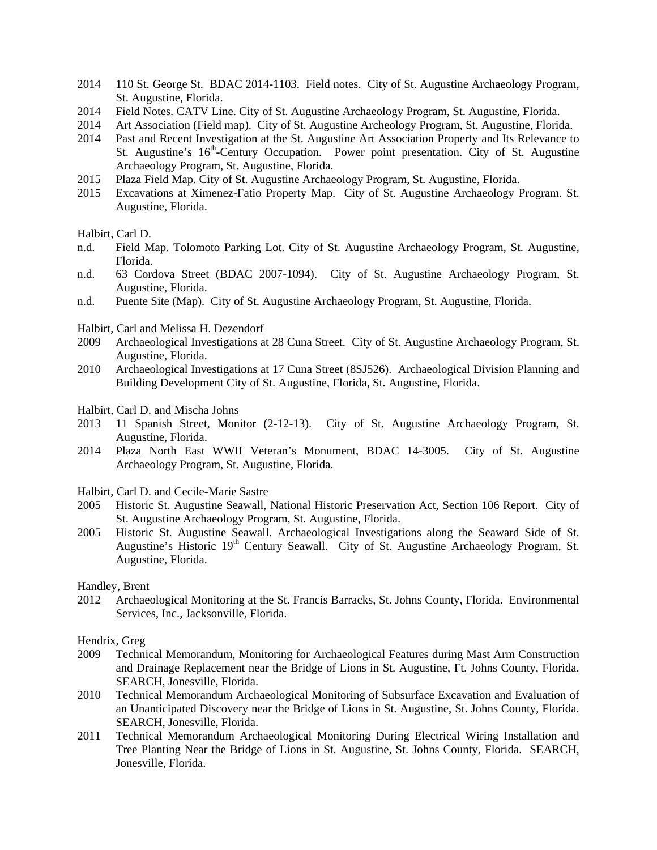- 2014 110 St. George St. BDAC 2014-1103. Field notes. City of St. Augustine Archaeology Program, St. Augustine, Florida.
- 2014 Field Notes. CATV Line. City of St. Augustine Archaeology Program, St. Augustine, Florida.
- 2014 Art Association (Field map). City of St. Augustine Archeology Program, St. Augustine, Florida.
- 2014 Past and Recent Investigation at the St. Augustine Art Association Property and Its Relevance to St. Augustine's  $16<sup>th</sup>$ -Century Occupation. Power point presentation. City of St. Augustine Archaeology Program, St. Augustine, Florida.
- 2015 Plaza Field Map. City of St. Augustine Archaeology Program, St. Augustine, Florida.
- 2015 Excavations at Ximenez-Fatio Property Map. City of St. Augustine Archaeology Program. St. Augustine, Florida.

- n.d. Field Map. Tolomoto Parking Lot. City of St. Augustine Archaeology Program, St. Augustine, Florida.
- n.d. 63 Cordova Street (BDAC 2007-1094). City of St. Augustine Archaeology Program, St. Augustine, Florida.
- n.d. Puente Site (Map). City of St. Augustine Archaeology Program, St. Augustine, Florida.

Halbirt, Carl and Melissa H. Dezendorf

- 2009 Archaeological Investigations at 28 Cuna Street. City of St. Augustine Archaeology Program, St. Augustine, Florida.
- 2010 Archaeological Investigations at 17 Cuna Street (8SJ526). Archaeological Division Planning and Building Development City of St. Augustine, Florida, St. Augustine, Florida.
- Halbirt, Carl D. and Mischa Johns
- 2013 11 Spanish Street, Monitor (2-12-13). City of St. Augustine Archaeology Program, St. Augustine, Florida.
- 2014 Plaza North East WWII Veteran's Monument, BDAC 14-3005. City of St. Augustine Archaeology Program, St. Augustine, Florida.
- Halbirt, Carl D. and Cecile-Marie Sastre
- 2005 Historic St. Augustine Seawall, National Historic Preservation Act, Section 106 Report. City of St. Augustine Archaeology Program, St. Augustine, Florida.
- 2005 Historic St. Augustine Seawall. Archaeological Investigations along the Seaward Side of St. Augustine's Historic 19<sup>th</sup> Century Seawall. City of St. Augustine Archaeology Program, St. Augustine, Florida.

Handley, Brent

2012 Archaeological Monitoring at the St. Francis Barracks, St. Johns County, Florida. Environmental Services, Inc., Jacksonville, Florida.

Hendrix, Greg

- 2009 Technical Memorandum, Monitoring for Archaeological Features during Mast Arm Construction and Drainage Replacement near the Bridge of Lions in St. Augustine, Ft. Johns County, Florida. SEARCH, Jonesville, Florida.
- 2010 Technical Memorandum Archaeological Monitoring of Subsurface Excavation and Evaluation of an Unanticipated Discovery near the Bridge of Lions in St. Augustine, St. Johns County, Florida. SEARCH, Jonesville, Florida.
- 2011 Technical Memorandum Archaeological Monitoring During Electrical Wiring Installation and Tree Planting Near the Bridge of Lions in St. Augustine, St. Johns County, Florida. SEARCH, Jonesville, Florida.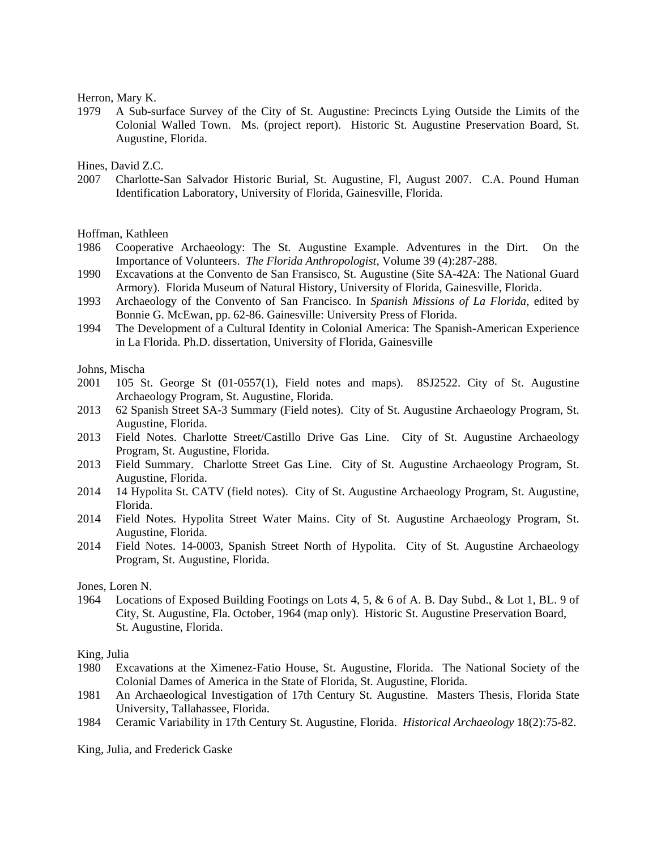Herron, Mary K.

1979 A Sub-surface Survey of the City of St. Augustine: Precincts Lying Outside the Limits of the Colonial Walled Town. Ms. (project report). Historic St. Augustine Preservation Board, St. Augustine, Florida.

Hines, David Z.C.

2007 Charlotte-San Salvador Historic Burial, St. Augustine, Fl, August 2007. C.A. Pound Human Identification Laboratory, University of Florida, Gainesville, Florida.

Hoffman, Kathleen

- 1986 Cooperative Archaeology: The St. Augustine Example. Adventures in the Dirt. On the Importance of Volunteers. *The Florida Anthropologist*, Volume 39 (4):287-288.
- 1990 Excavations at the Convento de San Fransisco, St. Augustine (Site SA-42A: The National Guard Armory). Florida Museum of Natural History, University of Florida, Gainesville, Florida.
- 1993 Archaeology of the Convento of San Francisco. In *Spanish Missions of La Florida*, edited by Bonnie G. McEwan, pp. 62-86. Gainesville: University Press of Florida.
- 1994 The Development of a Cultural Identity in Colonial America: The Spanish-American Experience in La Florida. Ph.D. dissertation, University of Florida, Gainesville

Johns, Mischa

- 2001 105 St. George St (01-0557(1), Field notes and maps). 8SJ2522. City of St. Augustine Archaeology Program, St. Augustine, Florida.
- 2013 62 Spanish Street SA-3 Summary (Field notes). City of St. Augustine Archaeology Program, St. Augustine, Florida.
- 2013 Field Notes. Charlotte Street/Castillo Drive Gas Line. City of St. Augustine Archaeology Program, St. Augustine, Florida.
- 2013 Field Summary. Charlotte Street Gas Line. City of St. Augustine Archaeology Program, St. Augustine, Florida.
- 2014 14 Hypolita St. CATV (field notes). City of St. Augustine Archaeology Program, St. Augustine, Florida.
- 2014 Field Notes. Hypolita Street Water Mains. City of St. Augustine Archaeology Program, St. Augustine, Florida.
- 2014 Field Notes. 14-0003, Spanish Street North of Hypolita. City of St. Augustine Archaeology Program, St. Augustine, Florida.

Jones, Loren N.

1964 Locations of Exposed Building Footings on Lots 4, 5, & 6 of A. B. Day Subd., & Lot 1, BL. 9 of City, St. Augustine, Fla. October, 1964 (map only). Historic St. Augustine Preservation Board, St. Augustine, Florida.

King, Julia

- 1980 Excavations at the Ximenez-Fatio House, St. Augustine, Florida. The National Society of the Colonial Dames of America in the State of Florida, St. Augustine, Florida.
- 1981 An Archaeological Investigation of 17th Century St. Augustine. Masters Thesis, Florida State University, Tallahassee, Florida.
- 1984 Ceramic Variability in 17th Century St. Augustine, Florida. *Historical Archaeology* 18(2):75-82.

King, Julia, and Frederick Gaske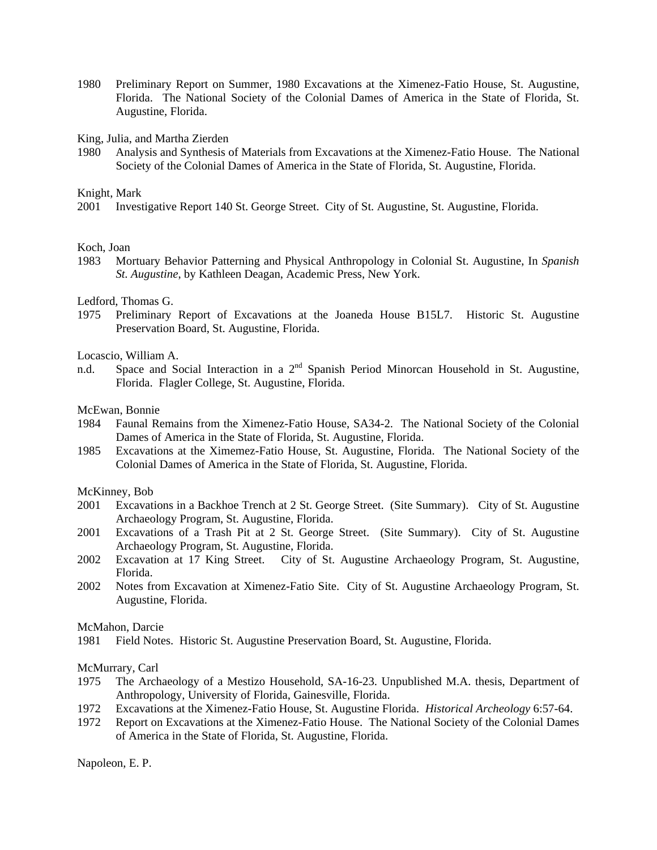1980 Preliminary Report on Summer, 1980 Excavations at the Ximenez-Fatio House, St. Augustine, Florida. The National Society of the Colonial Dames of America in the State of Florida, St. Augustine, Florida.

King, Julia, and Martha Zierden

1980 Analysis and Synthesis of Materials from Excavations at the Ximenez-Fatio House. The National Society of the Colonial Dames of America in the State of Florida, St. Augustine, Florida.

#### Knight, Mark

2001 Investigative Report 140 St. George Street. City of St. Augustine, St. Augustine, Florida.

#### Koch, Joan

1983 Mortuary Behavior Patterning and Physical Anthropology in Colonial St. Augustine, In *Spanish St. Augustine*, by Kathleen Deagan, Academic Press, New York.

#### Ledford, Thomas G.

1975 Preliminary Report of Excavations at the Joaneda House B15L7. Historic St. Augustine Preservation Board, St. Augustine, Florida.

#### Locascio, William A.

n.d. Space and Social Interaction in a 2<sup>nd</sup> Spanish Period Minorcan Household in St. Augustine, Florida. Flagler College, St. Augustine, Florida.

#### McEwan, Bonnie

- 1984 Faunal Remains from the Ximenez-Fatio House, SA34-2. The National Society of the Colonial Dames of America in the State of Florida, St. Augustine, Florida.
- 1985 Excavations at the Ximemez-Fatio House, St. Augustine, Florida. The National Society of the Colonial Dames of America in the State of Florida, St. Augustine, Florida.

#### McKinney, Bob

- 2001 Excavations in a Backhoe Trench at 2 St. George Street. (Site Summary). City of St. Augustine Archaeology Program, St. Augustine, Florida.
- 2001 Excavations of a Trash Pit at 2 St. George Street. (Site Summary). City of St. Augustine Archaeology Program, St. Augustine, Florida.
- 2002 Excavation at 17 King Street. City of St. Augustine Archaeology Program, St. Augustine, Florida.
- 2002 Notes from Excavation at Ximenez-Fatio Site. City of St. Augustine Archaeology Program, St. Augustine, Florida.

#### McMahon, Darcie

1981 Field Notes. Historic St. Augustine Preservation Board, St. Augustine, Florida.

#### McMurrary, Carl

- 1975 The Archaeology of a Mestizo Household, SA-16-23. Unpublished M.A. thesis, Department of Anthropology, University of Florida, Gainesville, Florida.
- 1972 Excavations at the Ximenez-Fatio House, St. Augustine Florida. *Historical Archeology* 6:57-64.
- 1972 Report on Excavations at the Ximenez-Fatio House. The National Society of the Colonial Dames of America in the State of Florida, St. Augustine, Florida.

Napoleon, E. P.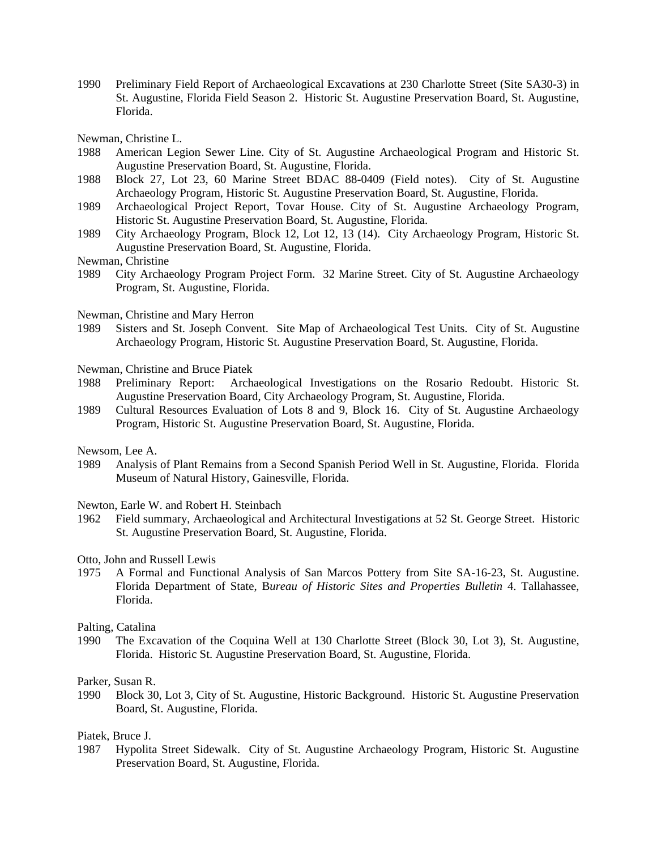1990 Preliminary Field Report of Archaeological Excavations at 230 Charlotte Street (Site SA30-3) in St. Augustine, Florida Field Season 2. Historic St. Augustine Preservation Board, St. Augustine, Florida.

Newman, Christine L.

- 1988 American Legion Sewer Line. City of St. Augustine Archaeological Program and Historic St. Augustine Preservation Board, St. Augustine, Florida.
- 1988 Block 27, Lot 23, 60 Marine Street BDAC 88-0409 (Field notes). City of St. Augustine Archaeology Program, Historic St. Augustine Preservation Board, St. Augustine, Florida.
- 1989 Archaeological Project Report, Tovar House. City of St. Augustine Archaeology Program, Historic St. Augustine Preservation Board, St. Augustine, Florida.
- 1989 City Archaeology Program, Block 12, Lot 12, 13 (14). City Archaeology Program, Historic St. Augustine Preservation Board, St. Augustine, Florida.
- Newman, Christine
- 1989 City Archaeology Program Project Form. 32 Marine Street. City of St. Augustine Archaeology Program, St. Augustine, Florida.

Newman, Christine and Mary Herron

1989 Sisters and St. Joseph Convent. Site Map of Archaeological Test Units. City of St. Augustine Archaeology Program, Historic St. Augustine Preservation Board, St. Augustine, Florida.

Newman, Christine and Bruce Piatek

- 1988 Preliminary Report: Archaeological Investigations on the Rosario Redoubt. Historic St. Augustine Preservation Board, City Archaeology Program, St. Augustine, Florida.
- 1989 Cultural Resources Evaluation of Lots 8 and 9, Block 16. City of St. Augustine Archaeology Program, Historic St. Augustine Preservation Board, St. Augustine, Florida.

Newsom, Lee A.

1989 Analysis of Plant Remains from a Second Spanish Period Well in St. Augustine, Florida. Florida Museum of Natural History, Gainesville, Florida.

Newton, Earle W. and Robert H. Steinbach

1962 Field summary, Archaeological and Architectural Investigations at 52 St. George Street. Historic St. Augustine Preservation Board, St. Augustine, Florida.

Otto, John and Russell Lewis

1975 A Formal and Functional Analysis of San Marcos Pottery from Site SA-16-23, St. Augustine. Florida Department of State, B*ureau of Historic Sites and Properties Bulletin* 4. Tallahassee, Florida.

Palting, Catalina

1990 The Excavation of the Coquina Well at 130 Charlotte Street (Block 30, Lot 3), St. Augustine, Florida. Historic St. Augustine Preservation Board, St. Augustine, Florida.

Parker, Susan R.

1990 Block 30, Lot 3, City of St. Augustine, Historic Background. Historic St. Augustine Preservation Board, St. Augustine, Florida.

#### Piatek, Bruce J.

1987 Hypolita Street Sidewalk. City of St. Augustine Archaeology Program, Historic St. Augustine Preservation Board, St. Augustine, Florida.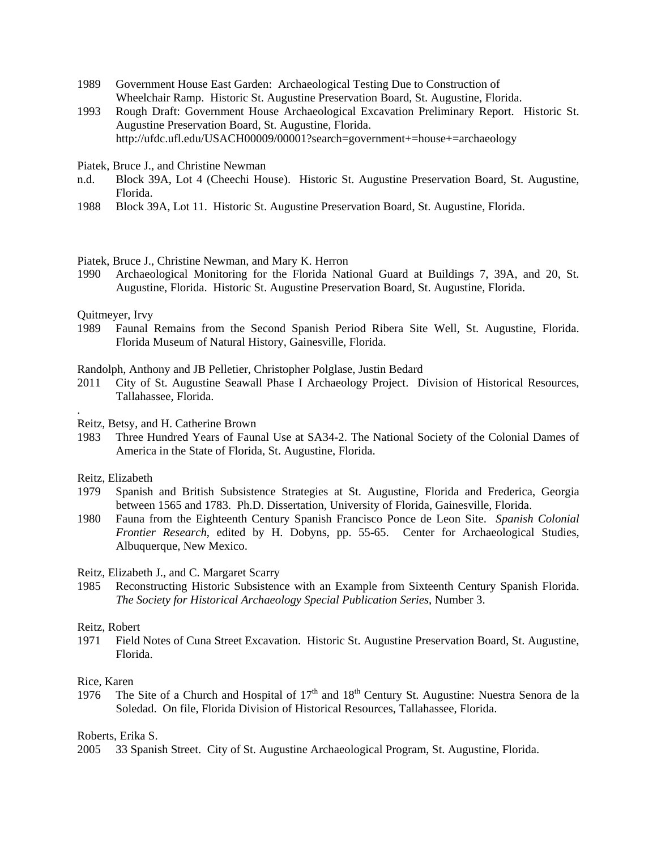- 1989 Government House East Garden: Archaeological Testing Due to Construction of Wheelchair Ramp. Historic St. Augustine Preservation Board, St. Augustine, Florida.
- 1993 Rough Draft: Government House Archaeological Excavation Preliminary Report. Historic St. Augustine Preservation Board, St. Augustine, Florida. http://ufdc.ufl.edu/USACH00009/00001?search=government+=house+=archaeology
- Piatek, Bruce J., and Christine Newman
- n.d. Block 39A, Lot 4 (Cheechi House). Historic St. Augustine Preservation Board, St. Augustine, Florida.
- 1988 Block 39A, Lot 11. Historic St. Augustine Preservation Board, St. Augustine, Florida.
- Piatek, Bruce J., Christine Newman, and Mary K. Herron
- 1990 Archaeological Monitoring for the Florida National Guard at Buildings 7, 39A, and 20, St. Augustine, Florida. Historic St. Augustine Preservation Board, St. Augustine, Florida.

Quitmeyer, Irvy

1989 Faunal Remains from the Second Spanish Period Ribera Site Well, St. Augustine, Florida. Florida Museum of Natural History, Gainesville, Florida.

Randolph, Anthony and JB Pelletier, Christopher Polglase, Justin Bedard

2011 City of St. Augustine Seawall Phase I Archaeology Project. Division of Historical Resources, Tallahassee, Florida.

Reitz, Betsy, and H. Catherine Brown

1983 Three Hundred Years of Faunal Use at SA34-2. The National Society of the Colonial Dames of America in the State of Florida, St. Augustine, Florida.

Reitz, Elizabeth

.

- 1979 Spanish and British Subsistence Strategies at St. Augustine, Florida and Frederica, Georgia between 1565 and 1783. Ph.D. Dissertation, University of Florida, Gainesville, Florida.
- 1980 Fauna from the Eighteenth Century Spanish Francisco Ponce de Leon Site. *Spanish Colonial Frontier Research*, edited by H. Dobyns, pp. 55-65. Center for Archaeological Studies, Albuquerque, New Mexico.

#### Reitz, Elizabeth J., and C. Margaret Scarry

1985 Reconstructing Historic Subsistence with an Example from Sixteenth Century Spanish Florida. *The Society for Historical Archaeology Special Publication Series*, Number 3.

#### Reitz, Robert

1971 Field Notes of Cuna Street Excavation. Historic St. Augustine Preservation Board, St. Augustine, Florida.

#### Rice, Karen

1976 The Site of a Church and Hospital of  $17<sup>th</sup>$  and  $18<sup>th</sup>$  Century St. Augustine: Nuestra Senora de la Soledad. On file, Florida Division of Historical Resources, Tallahassee, Florida.

Roberts, Erika S.

2005 33 Spanish Street. City of St. Augustine Archaeological Program, St. Augustine, Florida.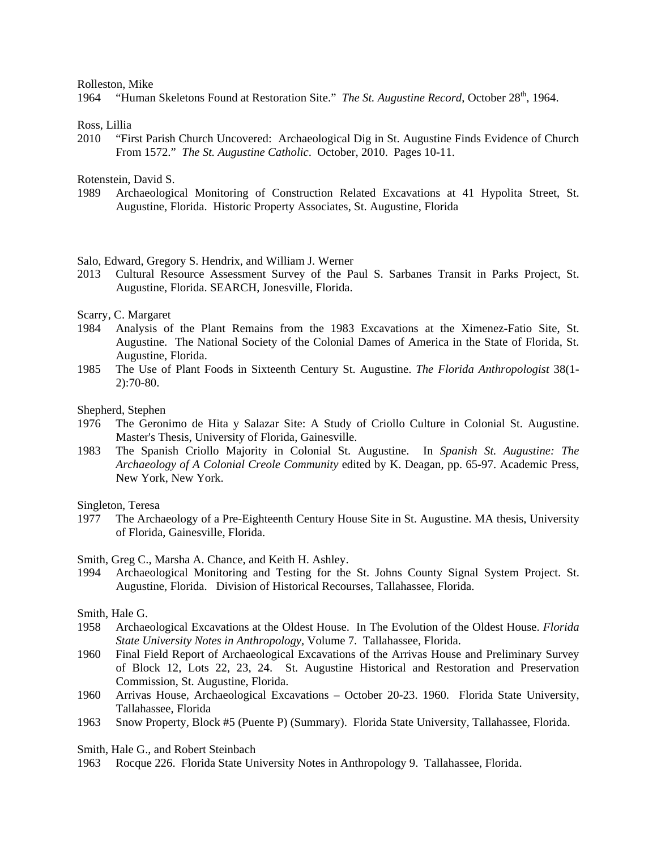#### Rolleston, Mike

1964 "Human Skeletons Found at Restoration Site." *The St. Augustine Record*, October 28<sup>th</sup>, 1964.

Ross, Lillia

2010 "First Parish Church Uncovered: Archaeological Dig in St. Augustine Finds Evidence of Church From 1572." *The St. Augustine Catholic*. October, 2010. Pages 10-11.

Rotenstein, David S.

1989 Archaeological Monitoring of Construction Related Excavations at 41 Hypolita Street, St. Augustine, Florida. Historic Property Associates, St. Augustine, Florida

#### Salo, Edward, Gregory S. Hendrix, and William J. Werner

2013 Cultural Resource Assessment Survey of the Paul S. Sarbanes Transit in Parks Project, St. Augustine, Florida. SEARCH, Jonesville, Florida.

Scarry, C. Margaret

- 1984 Analysis of the Plant Remains from the 1983 Excavations at the Ximenez-Fatio Site, St. Augustine. The National Society of the Colonial Dames of America in the State of Florida, St. Augustine, Florida.
- 1985 The Use of Plant Foods in Sixteenth Century St. Augustine. *The Florida Anthropologist* 38(1- 2):70-80.

Shepherd, Stephen

- 1976 The Geronimo de Hita y Salazar Site: A Study of Criollo Culture in Colonial St. Augustine. Master's Thesis, University of Florida, Gainesville.
- 1983 The Spanish Criollo Majority in Colonial St. Augustine. In *Spanish St. Augustine: The Archaeology of A Colonial Creole Community* edited by K. Deagan, pp. 65-97. Academic Press, New York, New York.

Singleton, Teresa

1977 The Archaeology of a Pre-Eighteenth Century House Site in St. Augustine. MA thesis, University of Florida, Gainesville, Florida.

Smith, Greg C., Marsha A. Chance, and Keith H. Ashley.

1994 Archaeological Monitoring and Testing for the St. Johns County Signal System Project. St. Augustine, Florida. Division of Historical Recourses, Tallahassee, Florida.

Smith, Hale G.

- 1958 Archaeological Excavations at the Oldest House. In The Evolution of the Oldest House. *Florida State University Notes in Anthropology,* Volume 7. Tallahassee, Florida.
- 1960 Final Field Report of Archaeological Excavations of the Arrivas House and Preliminary Survey of Block 12, Lots 22, 23, 24. St. Augustine Historical and Restoration and Preservation Commission, St. Augustine, Florida.
- 1960 Arrivas House, Archaeological Excavations October 20-23. 1960. Florida State University, Tallahassee, Florida
- 1963 Snow Property, Block #5 (Puente P) (Summary). Florida State University, Tallahassee, Florida.

Smith, Hale G., and Robert Steinbach

1963 Rocque 226. Florida State University Notes in Anthropology 9. Tallahassee, Florida.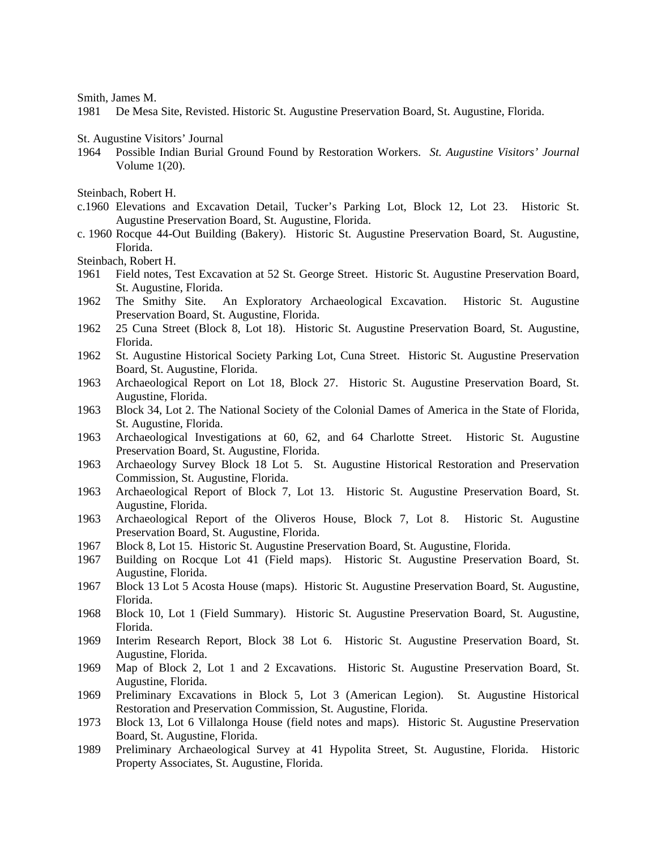Smith, James M.

1981 De Mesa Site, Revisted. Historic St. Augustine Preservation Board, St. Augustine, Florida.

St. Augustine Visitors' Journal

1964 Possible Indian Burial Ground Found by Restoration Workers. *St. Augustine Visitors' Journal* Volume 1(20).

Steinbach, Robert H.

- c.1960 Elevations and Excavation Detail, Tucker's Parking Lot, Block 12, Lot 23. Historic St. Augustine Preservation Board, St. Augustine, Florida.
- c. 1960 Rocque 44-Out Building (Bakery). Historic St. Augustine Preservation Board, St. Augustine, Florida.

Steinbach, Robert H.

- 1961 Field notes, Test Excavation at 52 St. George Street. Historic St. Augustine Preservation Board, St. Augustine, Florida.
- 1962 The Smithy Site. An Exploratory Archaeological Excavation. Historic St. Augustine Preservation Board, St. Augustine, Florida.
- 1962 25 Cuna Street (Block 8, Lot 18). Historic St. Augustine Preservation Board, St. Augustine, Florida.
- 1962 St. Augustine Historical Society Parking Lot, Cuna Street. Historic St. Augustine Preservation Board, St. Augustine, Florida.
- 1963 Archaeological Report on Lot 18, Block 27. Historic St. Augustine Preservation Board, St. Augustine, Florida.
- 1963 Block 34, Lot 2. The National Society of the Colonial Dames of America in the State of Florida, St. Augustine, Florida.
- 1963 Archaeological Investigations at 60, 62, and 64 Charlotte Street. Historic St. Augustine Preservation Board, St. Augustine, Florida.
- 1963 Archaeology Survey Block 18 Lot 5. St. Augustine Historical Restoration and Preservation Commission, St. Augustine, Florida.
- 1963 Archaeological Report of Block 7, Lot 13. Historic St. Augustine Preservation Board, St. Augustine, Florida.
- 1963 Archaeological Report of the Oliveros House, Block 7, Lot 8. Historic St. Augustine Preservation Board, St. Augustine, Florida.
- 1967 Block 8, Lot 15. Historic St. Augustine Preservation Board, St. Augustine, Florida.
- 1967 Building on Rocque Lot 41 (Field maps). Historic St. Augustine Preservation Board, St. Augustine, Florida.
- 1967 Block 13 Lot 5 Acosta House (maps). Historic St. Augustine Preservation Board, St. Augustine, Florida.
- 1968 Block 10, Lot 1 (Field Summary). Historic St. Augustine Preservation Board, St. Augustine, Florida.
- 1969 Interim Research Report, Block 38 Lot 6. Historic St. Augustine Preservation Board, St. Augustine, Florida.
- 1969 Map of Block 2, Lot 1 and 2 Excavations. Historic St. Augustine Preservation Board, St. Augustine, Florida.
- 1969 Preliminary Excavations in Block 5, Lot 3 (American Legion). St. Augustine Historical Restoration and Preservation Commission, St. Augustine, Florida.
- 1973 Block 13, Lot 6 Villalonga House (field notes and maps). Historic St. Augustine Preservation Board, St. Augustine, Florida.
- 1989 Preliminary Archaeological Survey at 41 Hypolita Street, St. Augustine, Florida. Historic Property Associates, St. Augustine, Florida.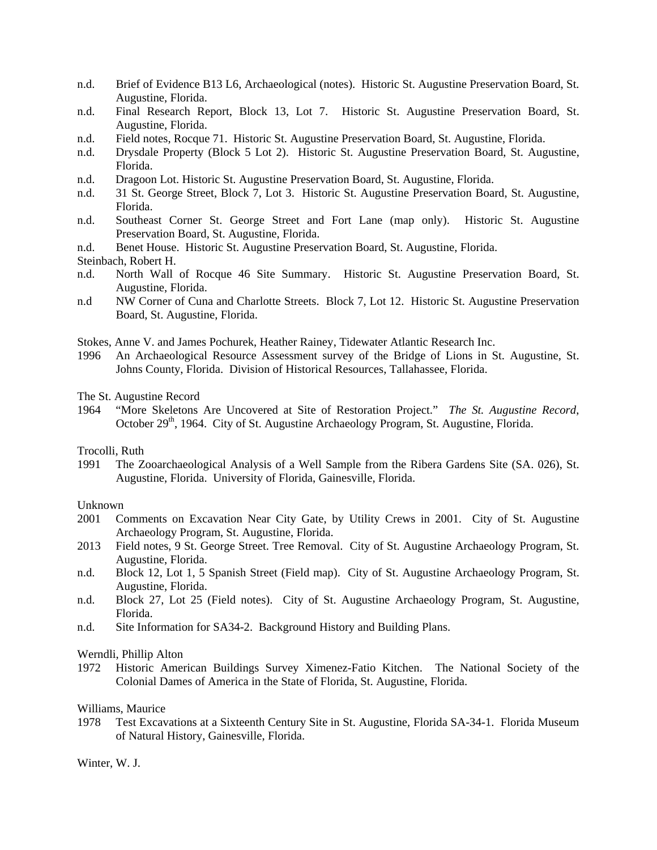- n.d. Brief of Evidence B13 L6, Archaeological (notes). Historic St. Augustine Preservation Board, St. Augustine, Florida.
- n.d. Final Research Report, Block 13, Lot 7. Historic St. Augustine Preservation Board, St. Augustine, Florida.
- n.d. Field notes, Rocque 71. Historic St. Augustine Preservation Board, St. Augustine, Florida.
- n.d. Drysdale Property (Block 5 Lot 2). Historic St. Augustine Preservation Board, St. Augustine, Florida.
- n.d. Dragoon Lot. Historic St. Augustine Preservation Board, St. Augustine, Florida.
- n.d. 31 St. George Street, Block 7, Lot 3. Historic St. Augustine Preservation Board, St. Augustine, Florida.
- n.d. Southeast Corner St. George Street and Fort Lane (map only). Historic St. Augustine Preservation Board, St. Augustine, Florida.
- n.d. Benet House. Historic St. Augustine Preservation Board, St. Augustine, Florida.

Steinbach, Robert H.

- n.d. North Wall of Rocque 46 Site Summary. Historic St. Augustine Preservation Board, St. Augustine, Florida.
- n.d NW Corner of Cuna and Charlotte Streets. Block 7, Lot 12. Historic St. Augustine Preservation Board, St. Augustine, Florida.
- Stokes, Anne V. and James Pochurek, Heather Rainey, Tidewater Atlantic Research Inc.
- 1996 An Archaeological Resource Assessment survey of the Bridge of Lions in St. Augustine, St. Johns County, Florida. Division of Historical Resources, Tallahassee, Florida.
- The St. Augustine Record
- 1964 "More Skeletons Are Uncovered at Site of Restoration Project." *The St. Augustine Record*, October 29<sup>th</sup>, 1964. City of St. Augustine Archaeology Program, St. Augustine, Florida.

#### Trocolli, Ruth

1991 The Zooarchaeological Analysis of a Well Sample from the Ribera Gardens Site (SA. 026), St. Augustine, Florida. University of Florida, Gainesville, Florida.

#### Unknown

- 2001 Comments on Excavation Near City Gate, by Utility Crews in 2001. City of St. Augustine Archaeology Program, St. Augustine, Florida.
- 2013 Field notes, 9 St. George Street. Tree Removal. City of St. Augustine Archaeology Program, St. Augustine, Florida.
- n.d. Block 12, Lot 1, 5 Spanish Street (Field map). City of St. Augustine Archaeology Program, St. Augustine, Florida.
- n.d. Block 27, Lot 25 (Field notes). City of St. Augustine Archaeology Program, St. Augustine, Florida.
- n.d. Site Information for SA34-2. Background History and Building Plans.

#### Werndli, Phillip Alton

1972 Historic American Buildings Survey Ximenez-Fatio Kitchen. The National Society of the Colonial Dames of America in the State of Florida, St. Augustine, Florida.

#### Williams, Maurice

1978 Test Excavations at a Sixteenth Century Site in St. Augustine, Florida SA-34-1. Florida Museum of Natural History, Gainesville, Florida.

#### Winter, W. J.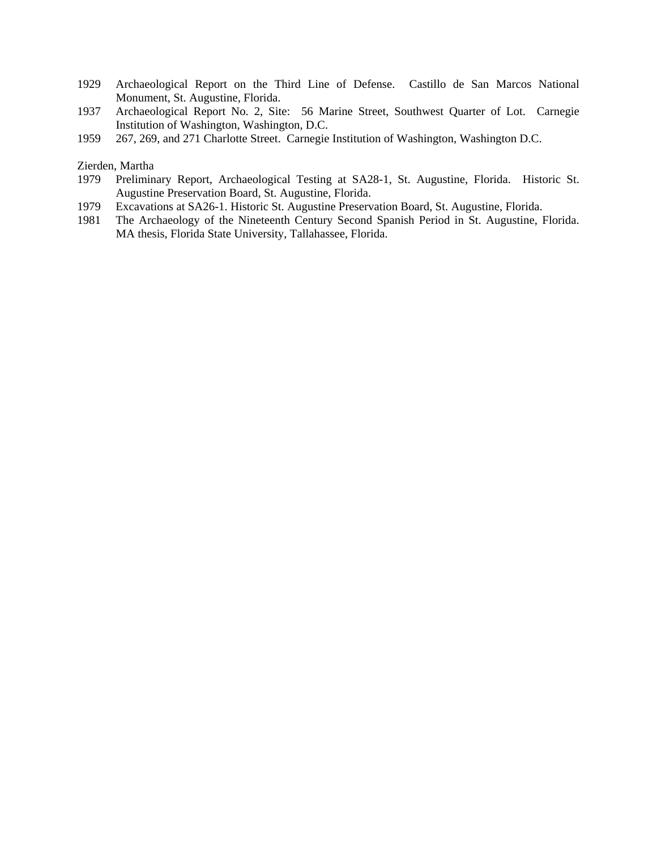- 1929 Archaeological Report on the Third Line of Defense. Castillo de San Marcos National Monument, St. Augustine, Florida.
- 1937 Archaeological Report No. 2, Site: 56 Marine Street, Southwest Quarter of Lot. Carnegie Institution of Washington, Washington, D.C.
- 1959 267, 269, and 271 Charlotte Street. Carnegie Institution of Washington, Washington D.C.

#### Zierden, Martha

- 1979 Preliminary Report, Archaeological Testing at SA28-1, St. Augustine, Florida. Historic St. Augustine Preservation Board, St. Augustine, Florida.
- 1979 Excavations at SA26-1. Historic St. Augustine Preservation Board, St. Augustine, Florida.
- 1981 The Archaeology of the Nineteenth Century Second Spanish Period in St. Augustine, Florida. MA thesis, Florida State University, Tallahassee, Florida.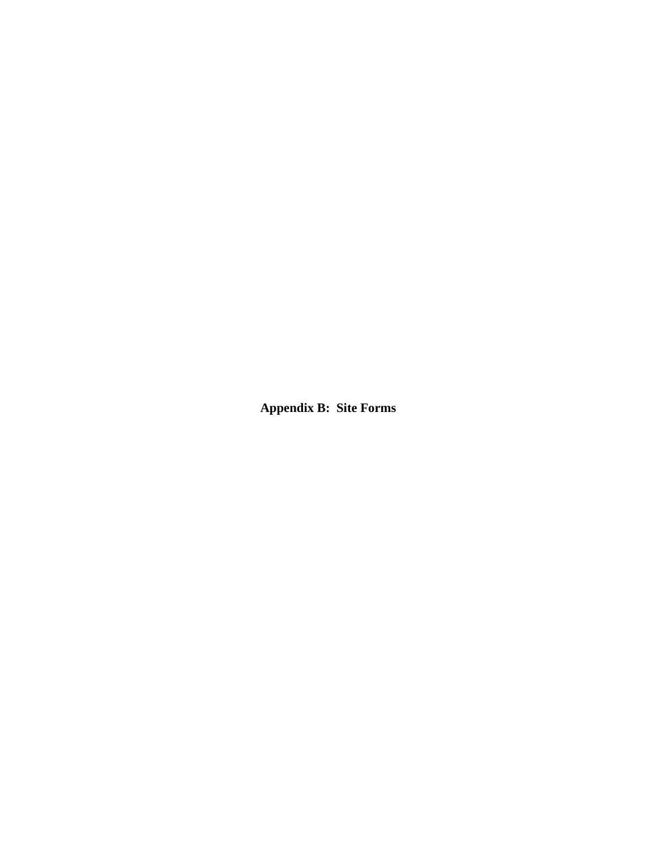**Appendix B: Site Forms**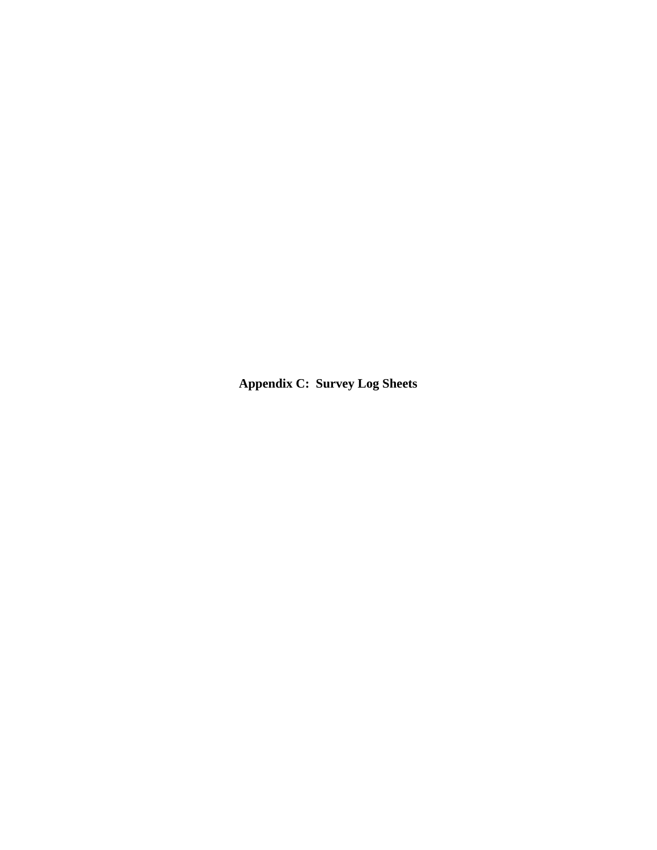**Appendix C: Survey Log Sheets**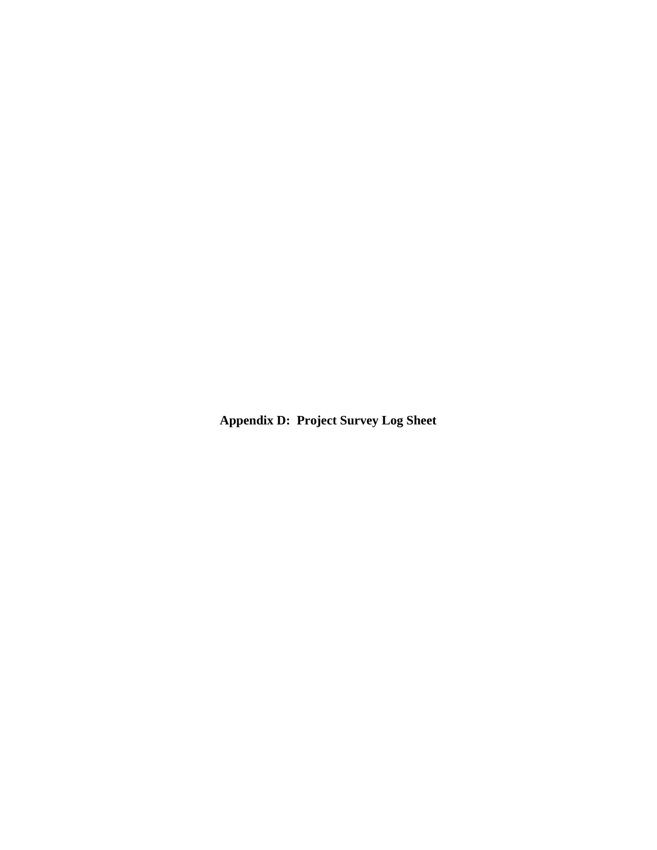**Appendix D: Project Survey Log Sheet**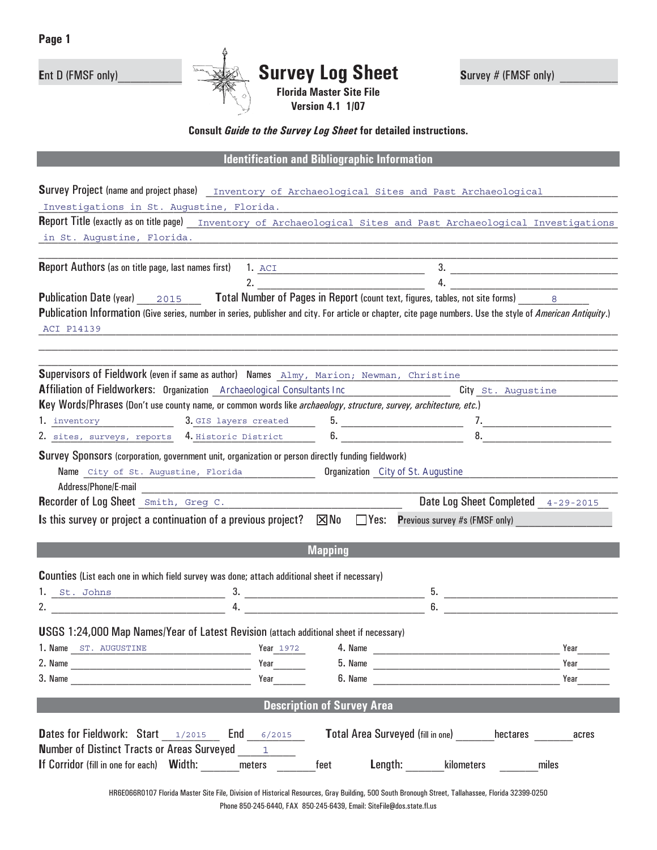

# **(**QW ' )06) RQO\BBBBBBBBBB **6XUYH\ /RJ 6KHHW <sup>6</sup>**XUYH\ )06) RQO\ **BBBBBBBBB**

**Florida Master Site File Version 4.1 1/07** 

**Consult Guide to the Survey Log Sheet for detailed instructions.** 

**Manda H**<br>**EXAMPLE** *Ribliographic Information* 

|                                                                                                                                                                                  |                                   | Survey Project (name and project phase) Inventory of Archaeological Sites and Past Archaeological |                  |
|----------------------------------------------------------------------------------------------------------------------------------------------------------------------------------|-----------------------------------|---------------------------------------------------------------------------------------------------|------------------|
| Investigations in St. Augustine, Florida.<br><b>Report Title (exactly as on title page)</b> Inventory of Archaeological Sites and Past Archaeological Investigations             |                                   |                                                                                                   |                  |
| in St. Augustine, Florida. 2008. 2009. 2010. 2010. 2010. 2010. 2010. 2010. 2010. 2010. 2010. 2010. 2010. 2010                                                                    |                                   |                                                                                                   |                  |
|                                                                                                                                                                                  |                                   |                                                                                                   |                  |
| Report Authors (as on title page, last names first) 1. <u>ACI______________________</u>                                                                                          |                                   |                                                                                                   | $\frac{3}{2}$    |
|                                                                                                                                                                                  | 2.                                |                                                                                                   | $\overline{4}$ . |
| <b>Publication Date (year)</b> $2015$ <b>Total Number of Pages in Report (count text, figures, tables, not site forms)</b> 8                                                     |                                   |                                                                                                   |                  |
| Publication Information (Give series, number in series, publisher and city. For article or chapter, cite page numbers. Use the style of American Antiquity.)                     |                                   |                                                                                                   |                  |
| ACI P14139                                                                                                                                                                       |                                   |                                                                                                   |                  |
|                                                                                                                                                                                  |                                   |                                                                                                   |                  |
| Supervisors of Fieldwork (even if same as author) Names Almy, Marion; Newman, Christine                                                                                          |                                   |                                                                                                   |                  |
| Affiliation of Fieldworkers: Organization _Archaeological Consultants Inc _________________________                                                                              |                                   | City St. Augustine                                                                                |                  |
| Key Words/Phrases (Don't use county name, or common words like archaeology, structure, survey, architecture, etc.)                                                               |                                   |                                                                                                   |                  |
| 1. inventory 3. GIS layers created                                                                                                                                               |                                   |                                                                                                   |                  |
| 2. sites, surveys, reports 4. Historic District                                                                                                                                  |                                   | $5.$ $7.$                                                                                         |                  |
| Survey Sponsors (corporation, government unit, organization or person directly funding fieldwork)                                                                                |                                   |                                                                                                   |                  |
| Name City of St. Augustine, Florida                                                                                                                                              |                                   | Organization City of St. Augustine                                                                |                  |
|                                                                                                                                                                                  |                                   |                                                                                                   |                  |
| Recorder of Log Sheet <u>Smith, Greg C. New York Chapter of Log Sheet</u>                                                                                                        |                                   | Date Log Sheet Completed 4-29-2015                                                                |                  |
| Is this survey or project a continuation of a previous project? $\boxtimes$ No $\Box$ Yes: Previous survey #s (FMSF only)                                                        |                                   |                                                                                                   |                  |
|                                                                                                                                                                                  |                                   |                                                                                                   |                  |
|                                                                                                                                                                                  |                                   |                                                                                                   |                  |
|                                                                                                                                                                                  | <b>Mapping</b>                    |                                                                                                   |                  |
|                                                                                                                                                                                  |                                   |                                                                                                   |                  |
| <b>Counties</b> (List each one in which field survey was done; attach additional sheet if necessary)                                                                             |                                   |                                                                                                   |                  |
|                                                                                                                                                                                  |                                   |                                                                                                   |                  |
|                                                                                                                                                                                  |                                   |                                                                                                   |                  |
|                                                                                                                                                                                  |                                   |                                                                                                   |                  |
|                                                                                                                                                                                  | <b>Pear</b> 1972                  |                                                                                                   | Year             |
| the control of the control of the control of the control of the control of                                                                                                       | Year                              | 5. Name                                                                                           | Year             |
|                                                                                                                                                                                  | Year                              | 6. Name                                                                                           | Year             |
| 1. <u>St. Johns 3.</u> 2. $\frac{1}{4}$<br>USGS 1:24,000 Map Names/Year of Latest Revision (attach additional sheet if necessary)<br>1. Name ST. AUGUSTINE<br>2. Name<br>3. Name | <b>Description of Survey Area</b> |                                                                                                   |                  |
|                                                                                                                                                                                  |                                   |                                                                                                   |                  |
| <b>Dates for Fieldwork: Start</b> 1/2015 <b>End</b> 6/2015                                                                                                                       |                                   | Total Area Surveyed (fill in one) hectares                                                        | acres            |
| <b>Number of Distinct Tracts or Areas Surveyed</b><br>If Corridor (fill in one for each) Width: meters                                                                           | $\mathbf{1}$<br>feet              | Length: _______kilometers                                                                         | miles            |

HR6E066R0107 Florida Master Site File, Division of Historical Resources, Gray Building, 500 South Bronough Street, Tallahassee, Florida 32399-0250 Phone 850-245-6440, FAX 850-245-6439, Email: SiteFile@dos.state.fl.us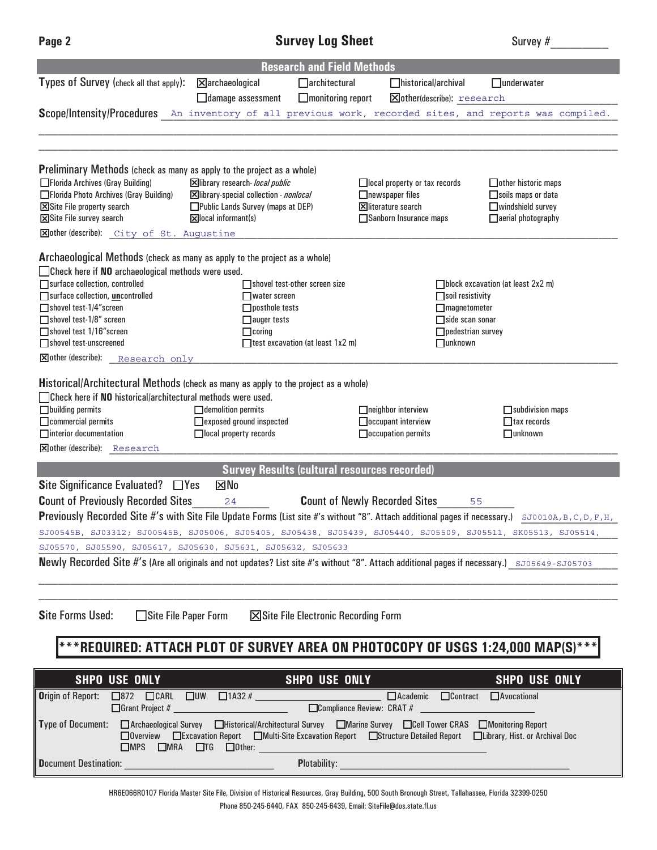# **3DJH 6XUYH\ /RJ 6KHHW** 6XUYH\ BBBBBBBBB

| <b>Research and Field Methods</b>                                                                                                                                                                                                                       |                                                                                                         |                                                        |                                                                     |  |  |
|---------------------------------------------------------------------------------------------------------------------------------------------------------------------------------------------------------------------------------------------------------|---------------------------------------------------------------------------------------------------------|--------------------------------------------------------|---------------------------------------------------------------------|--|--|
| Types of Survey (check all that apply):                                                                                                                                                                                                                 | $\boxtimes$ archaeological<br>$\Box$ architectural                                                      | $\Box$ historical/archival                             | $\Box$ underwater                                                   |  |  |
|                                                                                                                                                                                                                                                         | $\Box$ monitoring report<br>$\Box$ damage assessment                                                    | <b>X</b> other(describe): research                     |                                                                     |  |  |
|                                                                                                                                                                                                                                                         | Scope/Intensity/Procedures An inventory of all previous work, recorded sites, and reports was compiled. |                                                        |                                                                     |  |  |
|                                                                                                                                                                                                                                                         |                                                                                                         |                                                        |                                                                     |  |  |
|                                                                                                                                                                                                                                                         |                                                                                                         |                                                        |                                                                     |  |  |
| <b>Preliminary Methods</b> (check as many as apply to the project as a whole)                                                                                                                                                                           |                                                                                                         |                                                        |                                                                     |  |  |
| □ Florida Archives (Gray Building)                                                                                                                                                                                                                      | Xibrary research- local public                                                                          | □local property or tax records                         | $\Box$ other historic maps                                          |  |  |
| □Florida Photo Archives (Gray Building)                                                                                                                                                                                                                 | Xibrary-special collection - nonlocal                                                                   | $\Box$ newspaper files                                 | Soils maps or data                                                  |  |  |
| Site File property search<br>Site File survey search                                                                                                                                                                                                    | □ Public Lands Survey (maps at DEP)<br>$\boxed{\mathbf{X}}$ local informant(s)                          | <b>X</b> literature search<br>Sanborn Insurance maps   | $\Box$ windshield survey<br>$\Box$ aerial photography               |  |  |
| Xother (describe): City of St. Augustine                                                                                                                                                                                                                |                                                                                                         |                                                        |                                                                     |  |  |
|                                                                                                                                                                                                                                                         |                                                                                                         |                                                        |                                                                     |  |  |
|                                                                                                                                                                                                                                                         | Archaeological Methods (check as many as apply to the project as a whole)                               |                                                        |                                                                     |  |  |
| $\Box$ Check here if NO archaeological methods were used.                                                                                                                                                                                               |                                                                                                         |                                                        |                                                                     |  |  |
| Surface collection, controlled<br>□ surface collection, uncontrolled                                                                                                                                                                                    | Shovel test-other screen size<br>$\Box$ water screen                                                    |                                                        | $\Box$ block excavation (at least 2x2 m)<br>$\Box$ soil resistivity |  |  |
| □ shovel test-1/4" screen                                                                                                                                                                                                                               | $\Box$ posthole tests                                                                                   |                                                        | $\Box$ magnetometer                                                 |  |  |
| □ shovel test-1/8" screen                                                                                                                                                                                                                               | $\Box$ auger tests                                                                                      |                                                        | $\Box$ side scan sonar                                              |  |  |
| □ shovel test 1/16" screen                                                                                                                                                                                                                              | $\Box$ coring                                                                                           |                                                        | $\Box$ pedestrian survey                                            |  |  |
| Shovel test-unscreened<br>$\Sigma$ other (describe):                                                                                                                                                                                                    | $\Box$ test excavation (at least 1x2 m)                                                                 |                                                        | $\Box$ unknown                                                      |  |  |
| Research only                                                                                                                                                                                                                                           |                                                                                                         |                                                        |                                                                     |  |  |
|                                                                                                                                                                                                                                                         | <b>Historical/Architectural Methods</b> (check as many as apply to the project as a whole)              |                                                        |                                                                     |  |  |
| $\Box$ Check here if NO historical/architectural methods were used.                                                                                                                                                                                     |                                                                                                         |                                                        |                                                                     |  |  |
| $\Box$ building permits                                                                                                                                                                                                                                 | $\Box$ demolition permits                                                                               | $\Box$ neighbor interview                              | $\Box$ subdivision maps                                             |  |  |
| $\Box$ commercial permits<br>$\Box$ interior documentation                                                                                                                                                                                              | □ exposed ground inspected<br>$\Box$ local property records                                             | $\Box$ occupant interview<br>$\Box$ occupation permits | $\Box$ tax records<br>$\Box$ unknown                                |  |  |
| <b>X</b> other (describe): Research                                                                                                                                                                                                                     |                                                                                                         |                                                        |                                                                     |  |  |
|                                                                                                                                                                                                                                                         |                                                                                                         |                                                        |                                                                     |  |  |
|                                                                                                                                                                                                                                                         | <b>Survey Results (cultural resources recorded)</b><br>$\boxtimes$ No                                   |                                                        |                                                                     |  |  |
| Site Significance Evaluated? $\Box$ Yes                                                                                                                                                                                                                 |                                                                                                         |                                                        |                                                                     |  |  |
| <b>Count of Previously Recorded Sites</b>                                                                                                                                                                                                               | 24                                                                                                      | <b>Count of Newly Recorded Sites</b>                   | 55                                                                  |  |  |
| Previously Recorded Site #'s with Site File Update Forms (List site #'s without "8". Attach additional pages if necessary.) SJ0010A, B, C, D, F, H,                                                                                                     |                                                                                                         |                                                        |                                                                     |  |  |
| SJ00545B, SJ03312; SJ00545B, SJ05006, SJ05405, SJ05438, SJ05439, SJ05440, SJ05509, SJ05511, SK05513, SJ05514,<br>SJ05570, SJ05590, SJ05617, SJ05630, SJ5631, SJ05632, SJ05633                                                                           |                                                                                                         |                                                        |                                                                     |  |  |
| <b>Newly Recorded Site #'s (Are all originals and not updates? List site #'s without "8". Attach additional pages if necessary.)</b> sJ05649-SJ05703                                                                                                    |                                                                                                         |                                                        |                                                                     |  |  |
|                                                                                                                                                                                                                                                         |                                                                                                         |                                                        |                                                                     |  |  |
|                                                                                                                                                                                                                                                         |                                                                                                         |                                                        |                                                                     |  |  |
|                                                                                                                                                                                                                                                         |                                                                                                         |                                                        |                                                                     |  |  |
| <b>Site Forms Used:</b>                                                                                                                                                                                                                                 | $\Box$ Site File Paper Form<br>$\boxtimes$ Site File Electronic Recording Form                          |                                                        |                                                                     |  |  |
| *REQUIRED: ATTACH PLOT OF SURVEY AREA ON PHOTOCOPY OF USGS 1:24,000 MAP(S)****                                                                                                                                                                          |                                                                                                         |                                                        |                                                                     |  |  |
|                                                                                                                                                                                                                                                         |                                                                                                         |                                                        |                                                                     |  |  |
| <b>SHPO USE ONLY</b>                                                                                                                                                                                                                                    | <b>SHPO USE ONLY</b>                                                                                    |                                                        | <b>SHPO USE ONLY</b>                                                |  |  |
| <b>Origin of Report:</b>                                                                                                                                                                                                                                | $\Box$ 872 $\Box$ CARL $\Box$ UW $\Box$ 1A32 # $\Box$                                                   | $\Box$ Academic                                        | □Contract □Avocational                                              |  |  |
| □Compliance Review: CRAT #                                                                                                                                                                                                                              |                                                                                                         |                                                        |                                                                     |  |  |
| Type of Document: □ Archaeological Survey □ Historical/Architectural Survey □ Marine Survey □ Cell Tower CRAS □ Monitoring Report                                                                                                                       |                                                                                                         |                                                        |                                                                     |  |  |
| □Overview □Excavation Report □Multi-Site Excavation Report □Structure Detailed Report □Library, Hist. or Archival Doc<br>$\Box$ MPS $\Box$ MRA $\Box$ TG $\Box$ Other:                                                                                  |                                                                                                         |                                                        |                                                                     |  |  |
|                                                                                                                                                                                                                                                         |                                                                                                         |                                                        |                                                                     |  |  |
| Document Destination:<br>Plotability: New York Department of the Contract of the Contract of the Contract of the Contract of the Contract of the Contract of the Contract of the Contract of the Contract of the Contract of the Contract of the Contra |                                                                                                         |                                                        |                                                                     |  |  |

HR6E066R0107 Florida Master Site File, Division of Historical Resources, Gray Building, 500 South Bronough Street, Tallahassee, Florida 32399-0250 Phone 850-245-6440, FAX 850-245-6439, Email: SiteFile@dos.state.fl.us